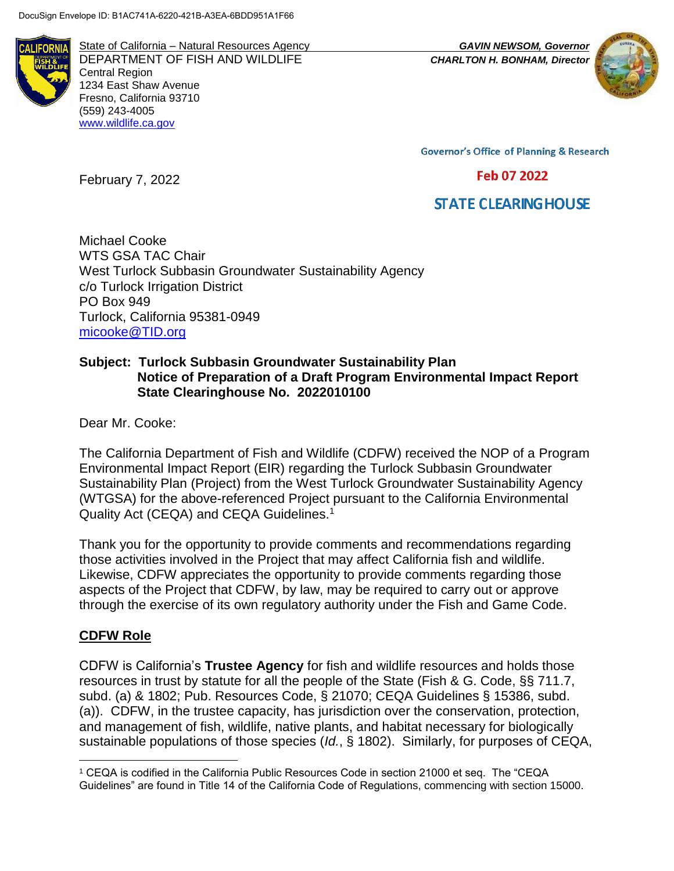

State of California – Natural Resources Agency *GAVIN NEWSOM, Governor* DEPARTMENT OF FISH AND WILDLIFE *CHARLTON H. BONHAM, Director* Central Region 1234 East Shaw Avenue Fresno, California 93710 (559) 243-4005 [www.wildlife.ca.gov](http://www.wildlife.ca.gov/)



**Governor's Office of Planning & Research** 

#### Feb 07 2022

# **STATE CLEARING HOUSE**

Michael Cooke WTS GSA TAC Chair West Turlock Subbasin Groundwater Sustainability Agency c/o Turlock Irrigation District PO Box 949 Turlock, California 95381-0949 [micooke@TID.org](mailto:micooke@TID.org)

### **Subject: Turlock Subbasin Groundwater Sustainability Plan Notice of Preparation of a Draft Program Environmental Impact Report State Clearinghouse No. 2022010100**

Dear Mr. Cooke:

February 7, 2022

The California Department of Fish and Wildlife (CDFW) received the NOP of a Program Environmental Impact Report (EIR) regarding the Turlock Subbasin Groundwater Sustainability Plan (Project) from the West Turlock Groundwater Sustainability Agency (WTGSA) for the above-referenced Project pursuant to the California Environmental Quality Act (CEQA) and CEQA Guidelines.<sup>1</sup>

Thank you for the opportunity to provide comments and recommendations regarding those activities involved in the Project that may affect California fish and wildlife. Likewise, CDFW appreciates the opportunity to provide comments regarding those aspects of the Project that CDFW, by law, may be required to carry out or approve through the exercise of its own regulatory authority under the Fish and Game Code.

#### **CDFW Role**

 $\overline{a}$ 

CDFW is California's **Trustee Agency** for fish and wildlife resources and holds those resources in trust by statute for all the people of the State (Fish & G. Code, §§ 711.7, subd. (a) & 1802; Pub. Resources Code, § 21070; CEQA Guidelines § 15386, subd. (a)). CDFW, in the trustee capacity, has jurisdiction over the conservation, protection, and management of fish, wildlife, native plants, and habitat necessary for biologically sustainable populations of those species (*Id.*, § 1802). Similarly, for purposes of CEQA,

<sup>1</sup> CEQA is codified in the California Public Resources Code in section 21000 et seq. The "CEQA Guidelines" are found in Title 14 of the California Code of Regulations, commencing with section 15000.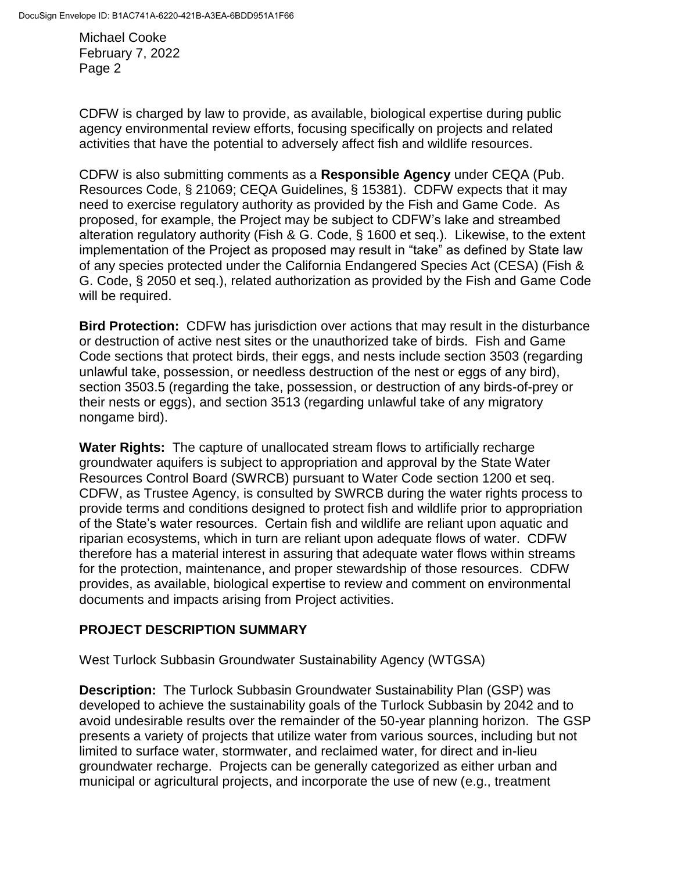CDFW is charged by law to provide, as available, biological expertise during public agency environmental review efforts, focusing specifically on projects and related activities that have the potential to adversely affect fish and wildlife resources.

CDFW is also submitting comments as a **Responsible Agency** under CEQA (Pub. Resources Code, § 21069; CEQA Guidelines, § 15381). CDFW expects that it may need to exercise regulatory authority as provided by the Fish and Game Code. As proposed, for example, the Project may be subject to CDFW's lake and streambed alteration regulatory authority (Fish & G. Code, § 1600 et seq.). Likewise, to the extent implementation of the Project as proposed may result in "take" as defined by State law of any species protected under the California Endangered Species Act (CESA) (Fish & G. Code, § 2050 et seq.), related authorization as provided by the Fish and Game Code will be required.

**Bird Protection:** CDFW has jurisdiction over actions that may result in the disturbance or destruction of active nest sites or the unauthorized take of birds. Fish and Game Code sections that protect birds, their eggs, and nests include section 3503 (regarding unlawful take, possession, or needless destruction of the nest or eggs of any bird), section 3503.5 (regarding the take, possession, or destruction of any birds-of-prey or their nests or eggs), and section 3513 (regarding unlawful take of any migratory nongame bird).

**Water Rights:** The capture of unallocated stream flows to artificially recharge groundwater aquifers is subject to appropriation and approval by the State Water Resources Control Board (SWRCB) pursuant to Water Code section 1200 et seq. CDFW, as Trustee Agency, is consulted by SWRCB during the water rights process to provide terms and conditions designed to protect fish and wildlife prior to appropriation of the State's water resources. Certain fish and wildlife are reliant upon aquatic and riparian ecosystems, which in turn are reliant upon adequate flows of water. CDFW therefore has a material interest in assuring that adequate water flows within streams for the protection, maintenance, and proper stewardship of those resources. CDFW provides, as available, biological expertise to review and comment on environmental documents and impacts arising from Project activities.

# **PROJECT DESCRIPTION SUMMARY**

West Turlock Subbasin Groundwater Sustainability Agency (WTGSA)

**Description:** The Turlock Subbasin Groundwater Sustainability Plan (GSP) was developed to achieve the sustainability goals of the Turlock Subbasin by 2042 and to avoid undesirable results over the remainder of the 50-year planning horizon. The GSP presents a variety of projects that utilize water from various sources, including but not limited to surface water, stormwater, and reclaimed water, for direct and in-lieu groundwater recharge. Projects can be generally categorized as either urban and municipal or agricultural projects, and incorporate the use of new (e.g., treatment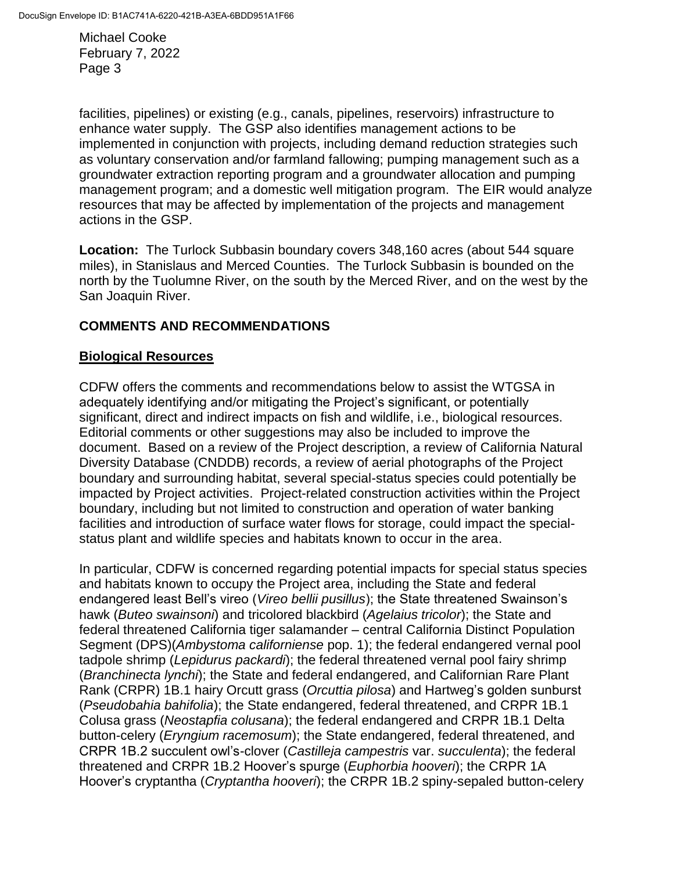facilities, pipelines) or existing (e.g., canals, pipelines, reservoirs) infrastructure to enhance water supply. The GSP also identifies management actions to be implemented in conjunction with projects, including demand reduction strategies such as voluntary conservation and/or farmland fallowing; pumping management such as a groundwater extraction reporting program and a groundwater allocation and pumping management program; and a domestic well mitigation program. The EIR would analyze resources that may be affected by implementation of the projects and management actions in the GSP.

**Location:** The Turlock Subbasin boundary covers 348,160 acres (about 544 square miles), in Stanislaus and Merced Counties. The Turlock Subbasin is bounded on the north by the Tuolumne River, on the south by the Merced River, and on the west by the San Joaquin River.

# **COMMENTS AND RECOMMENDATIONS**

### **Biological Resources**

CDFW offers the comments and recommendations below to assist the WTGSA in adequately identifying and/or mitigating the Project's significant, or potentially significant, direct and indirect impacts on fish and wildlife, i.e., biological resources. Editorial comments or other suggestions may also be included to improve the document. Based on a review of the Project description, a review of California Natural Diversity Database (CNDDB) records, a review of aerial photographs of the Project boundary and surrounding habitat, several special-status species could potentially be impacted by Project activities. Project-related construction activities within the Project boundary, including but not limited to construction and operation of water banking facilities and introduction of surface water flows for storage, could impact the specialstatus plant and wildlife species and habitats known to occur in the area.

In particular, CDFW is concerned regarding potential impacts for special status species and habitats known to occupy the Project area, including the State and federal endangered least Bell's vireo (*Vireo bellii pusillus*); the State threatened Swainson's hawk (*Buteo swainsoni*) and tricolored blackbird (*Agelaius tricolor*); the State and federal threatened California tiger salamander – central California Distinct Population Segment (DPS)(*Ambystoma californiense* pop. 1); the federal endangered vernal pool tadpole shrimp (*Lepidurus packardi*); the federal threatened vernal pool fairy shrimp (*Branchinecta lynchi*); the State and federal endangered, and Californian Rare Plant Rank (CRPR) 1B.1 hairy Orcutt grass (*Orcuttia pilosa*) and Hartweg's golden sunburst (*Pseudobahia bahifolia*); the State endangered, federal threatened, and CRPR 1B.1 Colusa grass (*Neostapfia colusana*); the federal endangered and CRPR 1B.1 Delta button-celery (*Eryngium racemosum*); the State endangered, federal threatened, and CRPR 1B.2 succulent owl's-clover (*Castilleja campestris* var. *succulenta*); the federal threatened and CRPR 1B.2 Hoover's spurge (*Euphorbia hooveri*); the CRPR 1A Hoover's cryptantha (*Cryptantha hooveri*); the CRPR 1B.2 spiny-sepaled button-celery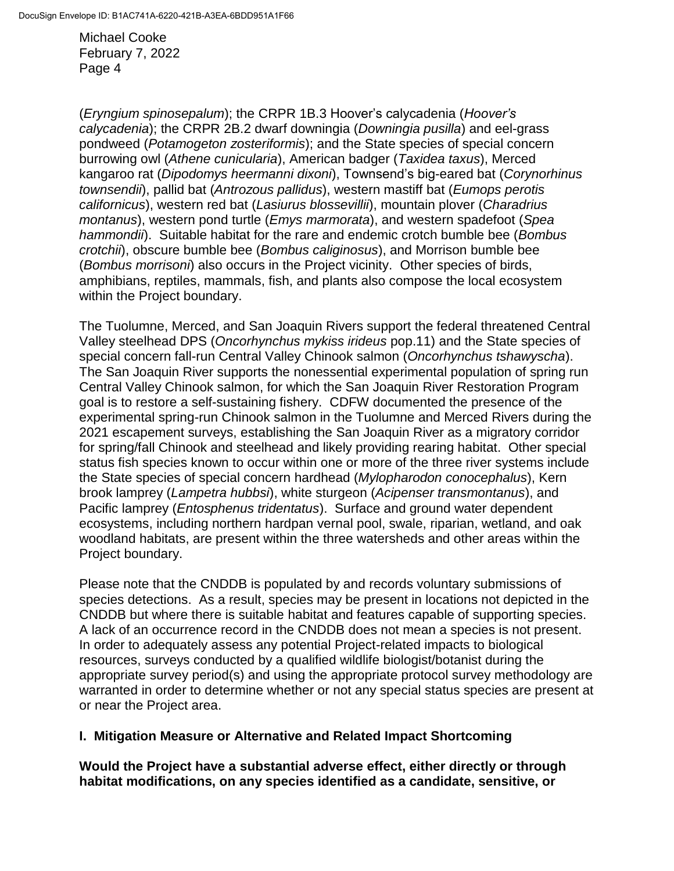(*Eryngium spinosepalum*); the CRPR 1B.3 Hoover's calycadenia (*Hoover's calycadenia*); the CRPR 2B.2 dwarf downingia (*Downingia pusilla*) and eel-grass pondweed (*Potamogeton zosteriformis*); and the State species of special concern burrowing owl (*Athene cunicularia*), American badger (*Taxidea taxus*), Merced kangaroo rat (*Dipodomys heermanni dixoni*), Townsend's big-eared bat (*Corynorhinus townsendii*), pallid bat (*Antrozous pallidus*), western mastiff bat (*Eumops perotis californicus*), western red bat (*Lasiurus blossevillii*), mountain plover (*Charadrius montanus*), western pond turtle (*Emys marmorata*), and western spadefoot (*Spea hammondii*). Suitable habitat for the rare and endemic crotch bumble bee (*Bombus crotchii*), obscure bumble bee (*Bombus caliginosus*), and Morrison bumble bee (*Bombus morrisoni*) also occurs in the Project vicinity. Other species of birds, amphibians, reptiles, mammals, fish, and plants also compose the local ecosystem within the Project boundary.

The Tuolumne, Merced, and San Joaquin Rivers support the federal threatened Central Valley steelhead DPS (*Oncorhynchus mykiss irideus* pop.11) and the State species of special concern fall-run Central Valley Chinook salmon (*Oncorhynchus tshawyscha*). The San Joaquin River supports the nonessential experimental population of spring run Central Valley Chinook salmon, for which the San Joaquin River Restoration Program goal is to restore a self-sustaining fishery. CDFW documented the presence of the experimental spring-run Chinook salmon in the Tuolumne and Merced Rivers during the 2021 escapement surveys, establishing the San Joaquin River as a migratory corridor for spring/fall Chinook and steelhead and likely providing rearing habitat. Other special status fish species known to occur within one or more of the three river systems include the State species of special concern hardhead (*Mylopharodon conocephalus*), Kern brook lamprey (*Lampetra hubbsi*), white sturgeon (*Acipenser transmontanus*), and Pacific lamprey (*Entosphenus tridentatus*). Surface and ground water dependent ecosystems, including northern hardpan vernal pool, swale, riparian, wetland, and oak woodland habitats, are present within the three watersheds and other areas within the Project boundary.

Please note that the CNDDB is populated by and records voluntary submissions of species detections. As a result, species may be present in locations not depicted in the CNDDB but where there is suitable habitat and features capable of supporting species. A lack of an occurrence record in the CNDDB does not mean a species is not present. In order to adequately assess any potential Project-related impacts to biological resources, surveys conducted by a qualified wildlife biologist/botanist during the appropriate survey period(s) and using the appropriate protocol survey methodology are warranted in order to determine whether or not any special status species are present at or near the Project area.

### **I. Mitigation Measure or Alternative and Related Impact Shortcoming**

**Would the Project have a substantial adverse effect, either directly or through habitat modifications, on any species identified as a candidate, sensitive, or**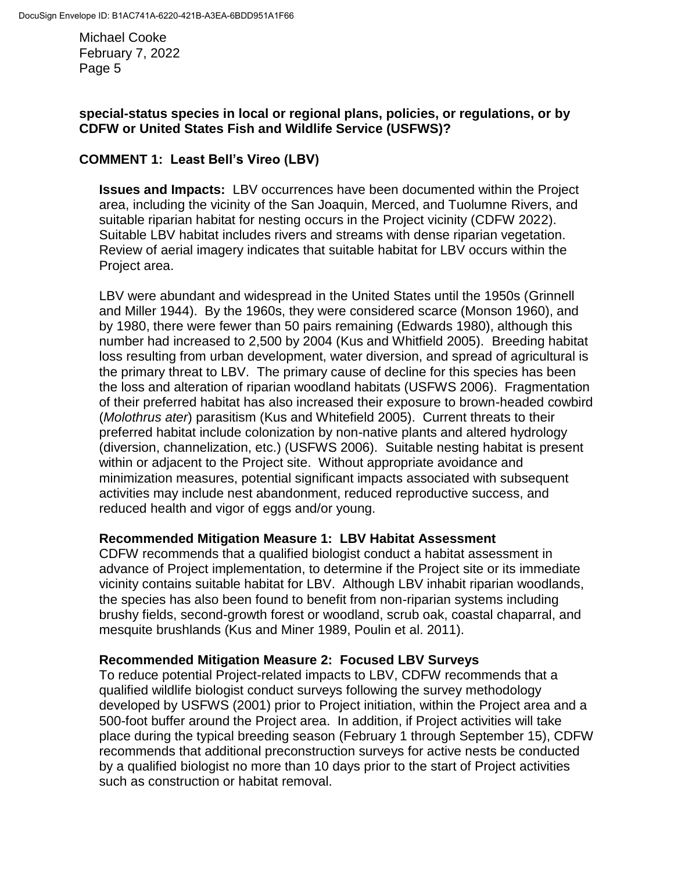# **special-status species in local or regional plans, policies, or regulations, or by CDFW or United States Fish and Wildlife Service (USFWS)?**

# **COMMENT 1: Least Bell's Vireo (LBV)**

**Issues and Impacts:** LBV occurrences have been documented within the Project area, including the vicinity of the San Joaquin, Merced, and Tuolumne Rivers, and suitable riparian habitat for nesting occurs in the Project vicinity (CDFW 2022). Suitable LBV habitat includes rivers and streams with dense riparian vegetation. Review of aerial imagery indicates that suitable habitat for LBV occurs within the Project area.

LBV were abundant and widespread in the United States until the 1950s (Grinnell and Miller 1944). By the 1960s, they were considered scarce (Monson 1960), and by 1980, there were fewer than 50 pairs remaining (Edwards 1980), although this number had increased to 2,500 by 2004 (Kus and Whitfield 2005). Breeding habitat loss resulting from urban development, water diversion, and spread of agricultural is the primary threat to LBV. The primary cause of decline for this species has been the loss and alteration of riparian woodland habitats (USFWS 2006). Fragmentation of their preferred habitat has also increased their exposure to brown-headed cowbird (*Molothrus ater*) parasitism (Kus and Whitefield 2005). Current threats to their preferred habitat include colonization by non-native plants and altered hydrology (diversion, channelization, etc.) (USFWS 2006). Suitable nesting habitat is present within or adjacent to the Project site. Without appropriate avoidance and minimization measures, potential significant impacts associated with subsequent activities may include nest abandonment, reduced reproductive success, and reduced health and vigor of eggs and/or young.

### **Recommended Mitigation Measure 1: LBV Habitat Assessment**

CDFW recommends that a qualified biologist conduct a habitat assessment in advance of Project implementation, to determine if the Project site or its immediate vicinity contains suitable habitat for LBV. Although LBV inhabit riparian woodlands, the species has also been found to benefit from non-riparian systems including brushy fields, second-growth forest or woodland, scrub oak, coastal chaparral, and mesquite brushlands (Kus and Miner 1989, Poulin et al. 2011).

### **Recommended Mitigation Measure 2: Focused LBV Surveys**

To reduce potential Project-related impacts to LBV, CDFW recommends that a qualified wildlife biologist conduct surveys following the survey methodology developed by USFWS (2001) prior to Project initiation, within the Project area and a 500-foot buffer around the Project area. In addition, if Project activities will take place during the typical breeding season (February 1 through September 15), CDFW recommends that additional preconstruction surveys for active nests be conducted by a qualified biologist no more than 10 days prior to the start of Project activities such as construction or habitat removal.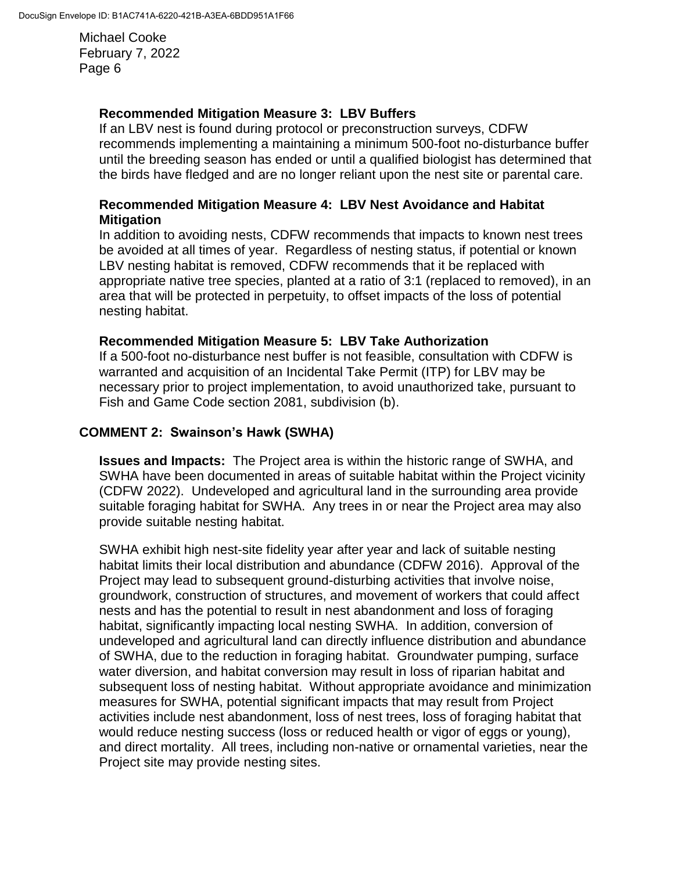### **Recommended Mitigation Measure 3: LBV Buffers**

If an LBV nest is found during protocol or preconstruction surveys, CDFW recommends implementing a maintaining a minimum 500-foot no-disturbance buffer until the breeding season has ended or until a qualified biologist has determined that the birds have fledged and are no longer reliant upon the nest site or parental care.

### **Recommended Mitigation Measure 4: LBV Nest Avoidance and Habitat Mitigation**

In addition to avoiding nests, CDFW recommends that impacts to known nest trees be avoided at all times of year. Regardless of nesting status, if potential or known LBV nesting habitat is removed, CDFW recommends that it be replaced with appropriate native tree species, planted at a ratio of 3:1 (replaced to removed), in an area that will be protected in perpetuity, to offset impacts of the loss of potential nesting habitat.

### **Recommended Mitigation Measure 5: LBV Take Authorization**

If a 500-foot no-disturbance nest buffer is not feasible, consultation with CDFW is warranted and acquisition of an Incidental Take Permit (ITP) for LBV may be necessary prior to project implementation, to avoid unauthorized take, pursuant to Fish and Game Code section 2081, subdivision (b).

### **COMMENT 2: Swainson's Hawk (SWHA)**

**Issues and Impacts:** The Project area is within the historic range of SWHA, and SWHA have been documented in areas of suitable habitat within the Project vicinity (CDFW 2022). Undeveloped and agricultural land in the surrounding area provide suitable foraging habitat for SWHA. Any trees in or near the Project area may also provide suitable nesting habitat.

SWHA exhibit high nest-site fidelity year after year and lack of suitable nesting habitat limits their local distribution and abundance (CDFW 2016). Approval of the Project may lead to subsequent ground-disturbing activities that involve noise, groundwork, construction of structures, and movement of workers that could affect nests and has the potential to result in nest abandonment and loss of foraging habitat, significantly impacting local nesting SWHA. In addition, conversion of undeveloped and agricultural land can directly influence distribution and abundance of SWHA, due to the reduction in foraging habitat. Groundwater pumping, surface water diversion, and habitat conversion may result in loss of riparian habitat and subsequent loss of nesting habitat. Without appropriate avoidance and minimization measures for SWHA, potential significant impacts that may result from Project activities include nest abandonment, loss of nest trees, loss of foraging habitat that would reduce nesting success (loss or reduced health or vigor of eggs or young), and direct mortality. All trees, including non-native or ornamental varieties, near the Project site may provide nesting sites.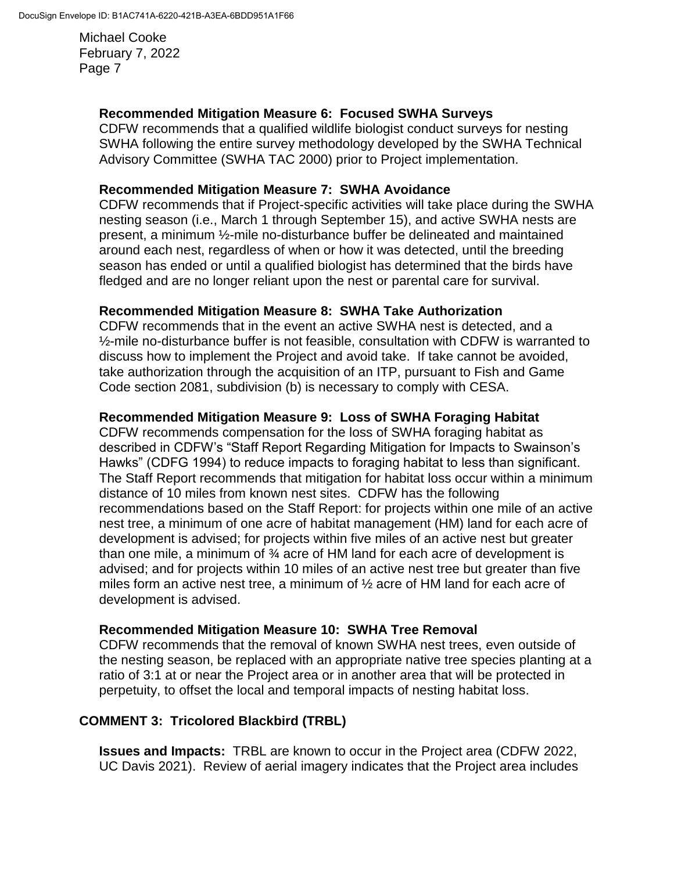### **Recommended Mitigation Measure 6: Focused SWHA Surveys**

CDFW recommends that a qualified wildlife biologist conduct surveys for nesting SWHA following the entire survey methodology developed by the SWHA Technical Advisory Committee (SWHA TAC 2000) prior to Project implementation.

### **Recommended Mitigation Measure 7: SWHA Avoidance**

CDFW recommends that if Project-specific activities will take place during the SWHA nesting season (i.e., March 1 through September 15), and active SWHA nests are present, a minimum ½-mile no-disturbance buffer be delineated and maintained around each nest, regardless of when or how it was detected, until the breeding season has ended or until a qualified biologist has determined that the birds have fledged and are no longer reliant upon the nest or parental care for survival.

### **Recommended Mitigation Measure 8: SWHA Take Authorization**

CDFW recommends that in the event an active SWHA nest is detected, and a  $\frac{1}{2}$ -mile no-disturbance buffer is not feasible, consultation with CDFW is warranted to discuss how to implement the Project and avoid take. If take cannot be avoided, take authorization through the acquisition of an ITP, pursuant to Fish and Game Code section 2081, subdivision (b) is necessary to comply with CESA.

### **Recommended Mitigation Measure 9: Loss of SWHA Foraging Habitat**

CDFW recommends compensation for the loss of SWHA foraging habitat as described in CDFW's "Staff Report Regarding Mitigation for Impacts to Swainson's Hawks" (CDFG 1994) to reduce impacts to foraging habitat to less than significant. The Staff Report recommends that mitigation for habitat loss occur within a minimum distance of 10 miles from known nest sites. CDFW has the following recommendations based on the Staff Report: for projects within one mile of an active nest tree, a minimum of one acre of habitat management (HM) land for each acre of development is advised; for projects within five miles of an active nest but greater than one mile, a minimum of ¾ acre of HM land for each acre of development is advised; and for projects within 10 miles of an active nest tree but greater than five miles form an active nest tree, a minimum of ½ acre of HM land for each acre of development is advised.

### **Recommended Mitigation Measure 10: SWHA Tree Removal**

CDFW recommends that the removal of known SWHA nest trees, even outside of the nesting season, be replaced with an appropriate native tree species planting at a ratio of 3:1 at or near the Project area or in another area that will be protected in perpetuity, to offset the local and temporal impacts of nesting habitat loss.

# **COMMENT 3: Tricolored Blackbird (TRBL)**

**Issues and Impacts:** TRBL are known to occur in the Project area (CDFW 2022, UC Davis 2021). Review of aerial imagery indicates that the Project area includes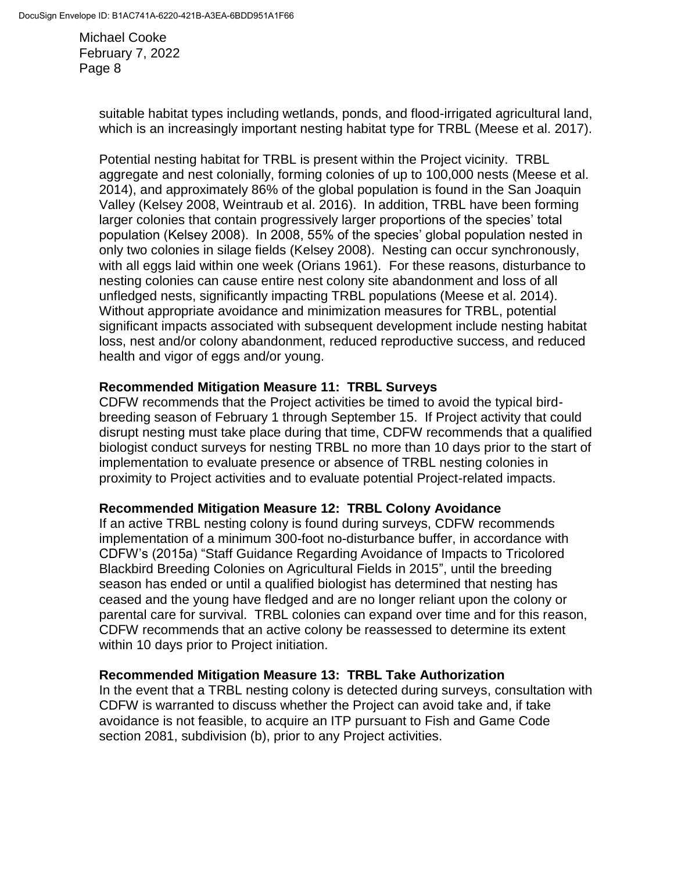> suitable habitat types including wetlands, ponds, and flood-irrigated agricultural land, which is an increasingly important nesting habitat type for TRBL (Meese et al. 2017).

> Potential nesting habitat for TRBL is present within the Project vicinity. TRBL aggregate and nest colonially, forming colonies of up to 100,000 nests (Meese et al. 2014), and approximately 86% of the global population is found in the San Joaquin Valley (Kelsey 2008, Weintraub et al. 2016). In addition, TRBL have been forming larger colonies that contain progressively larger proportions of the species' total population (Kelsey 2008). In 2008, 55% of the species' global population nested in only two colonies in silage fields (Kelsey 2008). Nesting can occur synchronously, with all eggs laid within one week (Orians 1961). For these reasons, disturbance to nesting colonies can cause entire nest colony site abandonment and loss of all unfledged nests, significantly impacting TRBL populations (Meese et al. 2014). Without appropriate avoidance and minimization measures for TRBL, potential significant impacts associated with subsequent development include nesting habitat loss, nest and/or colony abandonment, reduced reproductive success, and reduced health and vigor of eggs and/or young.

#### **Recommended Mitigation Measure 11: TRBL Surveys**

CDFW recommends that the Project activities be timed to avoid the typical birdbreeding season of February 1 through September 15. If Project activity that could disrupt nesting must take place during that time, CDFW recommends that a qualified biologist conduct surveys for nesting TRBL no more than 10 days prior to the start of implementation to evaluate presence or absence of TRBL nesting colonies in proximity to Project activities and to evaluate potential Project-related impacts.

### **Recommended Mitigation Measure 12: TRBL Colony Avoidance**

If an active TRBL nesting colony is found during surveys, CDFW recommends implementation of a minimum 300-foot no-disturbance buffer, in accordance with CDFW's (2015a) "Staff Guidance Regarding Avoidance of Impacts to Tricolored Blackbird Breeding Colonies on Agricultural Fields in 2015", until the breeding season has ended or until a qualified biologist has determined that nesting has ceased and the young have fledged and are no longer reliant upon the colony or parental care for survival. TRBL colonies can expand over time and for this reason, CDFW recommends that an active colony be reassessed to determine its extent within 10 days prior to Project initiation.

### **Recommended Mitigation Measure 13: TRBL Take Authorization**

In the event that a TRBL nesting colony is detected during surveys, consultation with CDFW is warranted to discuss whether the Project can avoid take and, if take avoidance is not feasible, to acquire an ITP pursuant to Fish and Game Code section 2081, subdivision (b), prior to any Project activities.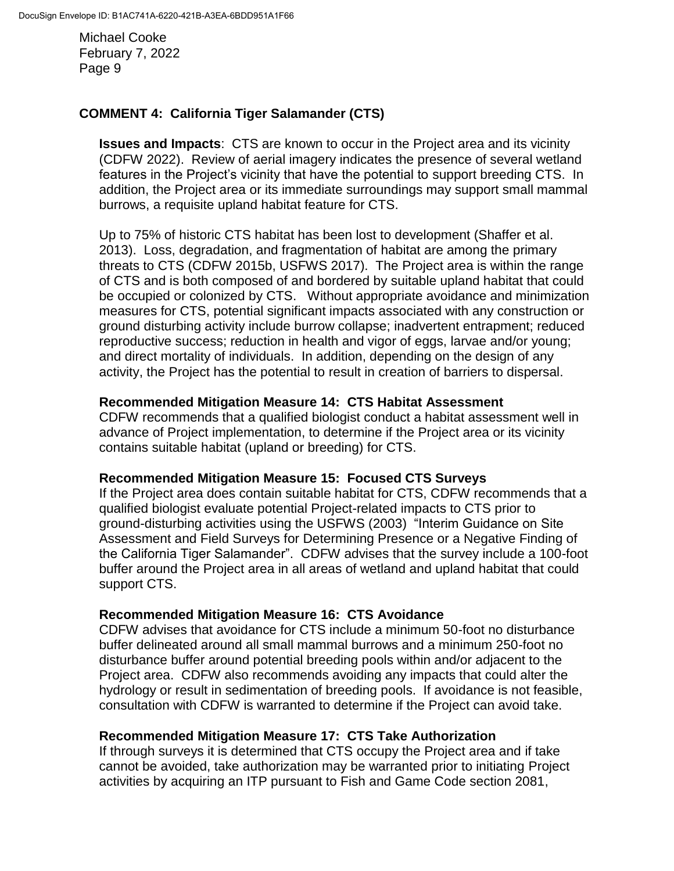# **COMMENT 4: California Tiger Salamander (CTS)**

**Issues and Impacts**: CTS are known to occur in the Project area and its vicinity (CDFW 2022). Review of aerial imagery indicates the presence of several wetland features in the Project's vicinity that have the potential to support breeding CTS. In addition, the Project area or its immediate surroundings may support small mammal burrows, a requisite upland habitat feature for CTS.

Up to 75% of historic CTS habitat has been lost to development (Shaffer et al. 2013). Loss, degradation, and fragmentation of habitat are among the primary threats to CTS (CDFW 2015b, USFWS 2017). The Project area is within the range of CTS and is both composed of and bordered by suitable upland habitat that could be occupied or colonized by CTS. Without appropriate avoidance and minimization measures for CTS, potential significant impacts associated with any construction or ground disturbing activity include burrow collapse; inadvertent entrapment; reduced reproductive success; reduction in health and vigor of eggs, larvae and/or young; and direct mortality of individuals. In addition, depending on the design of any activity, the Project has the potential to result in creation of barriers to dispersal.

#### **Recommended Mitigation Measure 14: CTS Habitat Assessment**

CDFW recommends that a qualified biologist conduct a habitat assessment well in advance of Project implementation, to determine if the Project area or its vicinity contains suitable habitat (upland or breeding) for CTS.

### **Recommended Mitigation Measure 15: Focused CTS Surveys**

If the Project area does contain suitable habitat for CTS, CDFW recommends that a qualified biologist evaluate potential Project-related impacts to CTS prior to ground-disturbing activities using the USFWS (2003) "Interim Guidance on Site Assessment and Field Surveys for Determining Presence or a Negative Finding of the California Tiger Salamander". CDFW advises that the survey include a 100-foot buffer around the Project area in all areas of wetland and upland habitat that could support CTS.

### **Recommended Mitigation Measure 16: CTS Avoidance**

CDFW advises that avoidance for CTS include a minimum 50-foot no disturbance buffer delineated around all small mammal burrows and a minimum 250-foot no disturbance buffer around potential breeding pools within and/or adjacent to the Project area. CDFW also recommends avoiding any impacts that could alter the hydrology or result in sedimentation of breeding pools. If avoidance is not feasible, consultation with CDFW is warranted to determine if the Project can avoid take.

### **Recommended Mitigation Measure 17: CTS Take Authorization**

If through surveys it is determined that CTS occupy the Project area and if take cannot be avoided, take authorization may be warranted prior to initiating Project activities by acquiring an ITP pursuant to Fish and Game Code section 2081,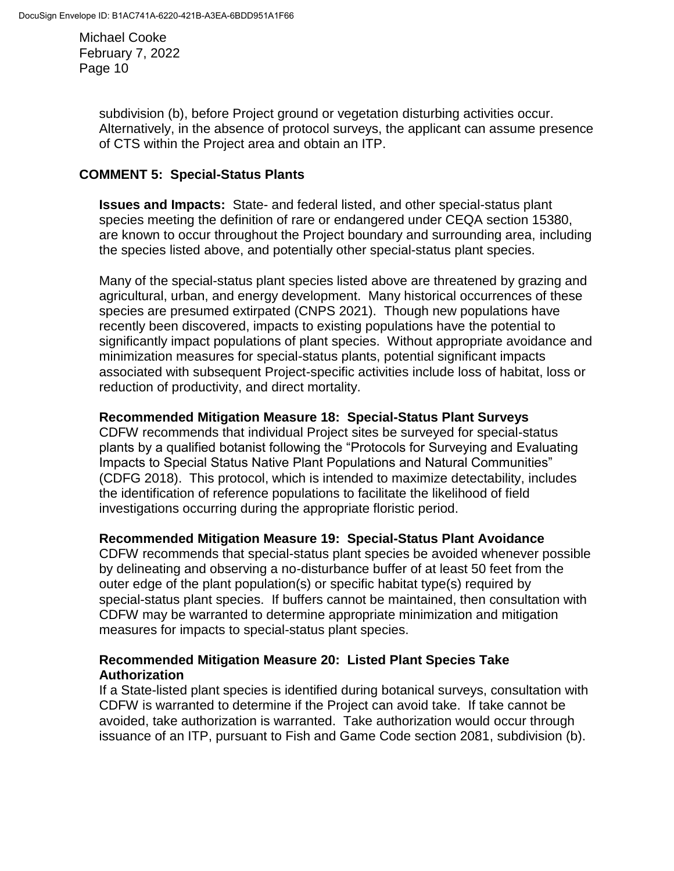> subdivision (b), before Project ground or vegetation disturbing activities occur. Alternatively, in the absence of protocol surveys, the applicant can assume presence of CTS within the Project area and obtain an ITP.

### **COMMENT 5: Special-Status Plants**

**Issues and Impacts:** State- and federal listed, and other special-status plant species meeting the definition of rare or endangered under CEQA section 15380, are known to occur throughout the Project boundary and surrounding area, including the species listed above, and potentially other special-status plant species.

Many of the special-status plant species listed above are threatened by grazing and agricultural, urban, and energy development. Many historical occurrences of these species are presumed extirpated (CNPS 2021). Though new populations have recently been discovered, impacts to existing populations have the potential to significantly impact populations of plant species. Without appropriate avoidance and minimization measures for special-status plants, potential significant impacts associated with subsequent Project-specific activities include loss of habitat, loss or reduction of productivity, and direct mortality.

### **Recommended Mitigation Measure 18: Special-Status Plant Surveys**

CDFW recommends that individual Project sites be surveyed for special-status plants by a qualified botanist following the "Protocols for Surveying and Evaluating Impacts to Special Status Native Plant Populations and Natural Communities" (CDFG 2018). This protocol, which is intended to maximize detectability, includes the identification of reference populations to facilitate the likelihood of field investigations occurring during the appropriate floristic period.

### **Recommended Mitigation Measure 19: Special-Status Plant Avoidance**

CDFW recommends that special-status plant species be avoided whenever possible by delineating and observing a no-disturbance buffer of at least 50 feet from the outer edge of the plant population(s) or specific habitat type(s) required by special-status plant species. If buffers cannot be maintained, then consultation with CDFW may be warranted to determine appropriate minimization and mitigation measures for impacts to special-status plant species.

### **Recommended Mitigation Measure 20: Listed Plant Species Take Authorization**

If a State-listed plant species is identified during botanical surveys, consultation with CDFW is warranted to determine if the Project can avoid take. If take cannot be avoided, take authorization is warranted. Take authorization would occur through issuance of an ITP, pursuant to Fish and Game Code section 2081, subdivision (b).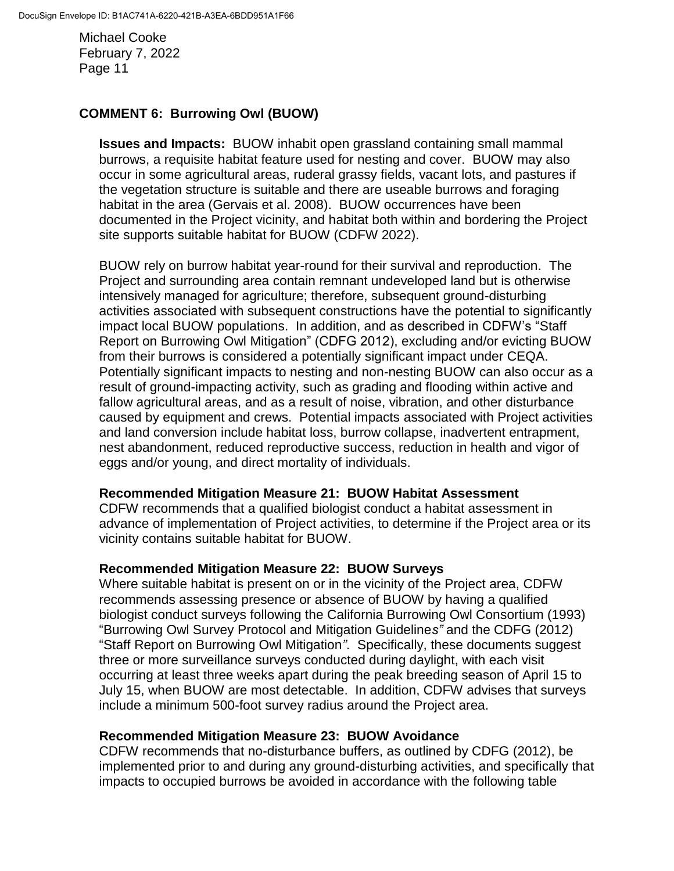# **COMMENT 6: Burrowing Owl (BUOW)**

**Issues and Impacts:** BUOW inhabit open grassland containing small mammal burrows, a requisite habitat feature used for nesting and cover. BUOW may also occur in some agricultural areas, ruderal grassy fields, vacant lots, and pastures if the vegetation structure is suitable and there are useable burrows and foraging habitat in the area (Gervais et al. 2008). BUOW occurrences have been documented in the Project vicinity, and habitat both within and bordering the Project site supports suitable habitat for BUOW (CDFW 2022).

BUOW rely on burrow habitat year-round for their survival and reproduction. The Project and surrounding area contain remnant undeveloped land but is otherwise intensively managed for agriculture; therefore, subsequent ground-disturbing activities associated with subsequent constructions have the potential to significantly impact local BUOW populations. In addition, and as described in CDFW's "Staff Report on Burrowing Owl Mitigation" (CDFG 2012), excluding and/or evicting BUOW from their burrows is considered a potentially significant impact under CEQA. Potentially significant impacts to nesting and non-nesting BUOW can also occur as a result of ground-impacting activity, such as grading and flooding within active and fallow agricultural areas, and as a result of noise, vibration, and other disturbance caused by equipment and crews. Potential impacts associated with Project activities and land conversion include habitat loss, burrow collapse, inadvertent entrapment, nest abandonment, reduced reproductive success, reduction in health and vigor of eggs and/or young, and direct mortality of individuals.

### **Recommended Mitigation Measure 21: BUOW Habitat Assessment**

CDFW recommends that a qualified biologist conduct a habitat assessment in advance of implementation of Project activities, to determine if the Project area or its vicinity contains suitable habitat for BUOW.

### **Recommended Mitigation Measure 22: BUOW Surveys**

Where suitable habitat is present on or in the vicinity of the Project area, CDFW recommends assessing presence or absence of BUOW by having a qualified biologist conduct surveys following the California Burrowing Owl Consortium (1993) "Burrowing Owl Survey Protocol and Mitigation Guideline*s"* and the CDFG (2012) "Staff Report on Burrowing Owl Mitigation*"*. Specifically, these documents suggest three or more surveillance surveys conducted during daylight, with each visit occurring at least three weeks apart during the peak breeding season of April 15 to July 15, when BUOW are most detectable. In addition, CDFW advises that surveys include a minimum 500-foot survey radius around the Project area.

### **Recommended Mitigation Measure 23: BUOW Avoidance**

CDFW recommends that no-disturbance buffers, as outlined by CDFG (2012), be implemented prior to and during any ground-disturbing activities, and specifically that impacts to occupied burrows be avoided in accordance with the following table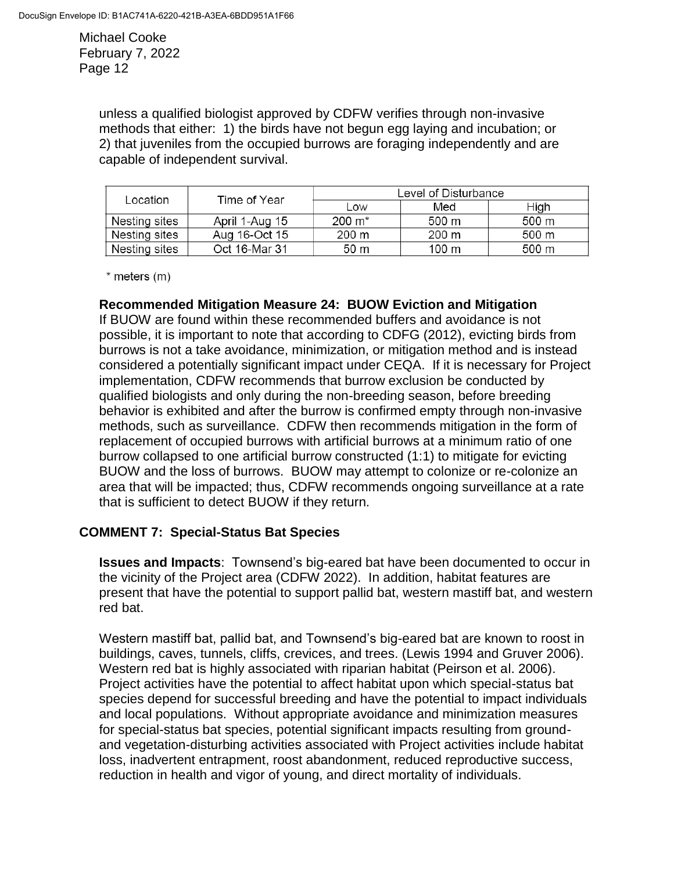> unless a qualified biologist approved by CDFW verifies through non-invasive methods that either: 1) the birds have not begun egg laying and incubation; or 2) that juveniles from the occupied burrows are foraging independently and are capable of independent survival.

| Location      | Time of Year   | Level of Disturbance |                 |       |
|---------------|----------------|----------------------|-----------------|-------|
|               |                | Low                  | Med             | High  |
| Nesting sites | April 1-Aug 15 | $200 \; \text{m}^*$  | 500 m           | 500 m |
| Nesting sites | Aug 16-Oct 15  | 200 m                | 200 m           | 500 m |
| Nesting sites | Oct 16-Mar 31  | 50 m                 | $100 \text{ m}$ | 500 m |

 $*$  meters  $(m)$ 

### **Recommended Mitigation Measure 24: BUOW Eviction and Mitigation**

If BUOW are found within these recommended buffers and avoidance is not possible, it is important to note that according to CDFG (2012), evicting birds from burrows is not a take avoidance, minimization, or mitigation method and is instead considered a potentially significant impact under CEQA. If it is necessary for Project implementation, CDFW recommends that burrow exclusion be conducted by qualified biologists and only during the non-breeding season, before breeding behavior is exhibited and after the burrow is confirmed empty through non-invasive methods, such as surveillance. CDFW then recommends mitigation in the form of replacement of occupied burrows with artificial burrows at a minimum ratio of one burrow collapsed to one artificial burrow constructed (1:1) to mitigate for evicting BUOW and the loss of burrows. BUOW may attempt to colonize or re-colonize an area that will be impacted; thus, CDFW recommends ongoing surveillance at a rate that is sufficient to detect BUOW if they return.

### **COMMENT 7: Special-Status Bat Species**

**Issues and Impacts**: Townsend's big-eared bat have been documented to occur in the vicinity of the Project area (CDFW 2022). In addition, habitat features are present that have the potential to support pallid bat, western mastiff bat, and western red bat.

Western mastiff bat, pallid bat, and Townsend's big-eared bat are known to roost in buildings, caves, tunnels, cliffs, crevices, and trees. (Lewis 1994 and Gruver 2006). Western red bat is highly associated with riparian habitat (Peirson et al. 2006). Project activities have the potential to affect habitat upon which special-status bat species depend for successful breeding and have the potential to impact individuals and local populations. Without appropriate avoidance and minimization measures for special-status bat species, potential significant impacts resulting from groundand vegetation-disturbing activities associated with Project activities include habitat loss, inadvertent entrapment, roost abandonment, reduced reproductive success, reduction in health and vigor of young, and direct mortality of individuals.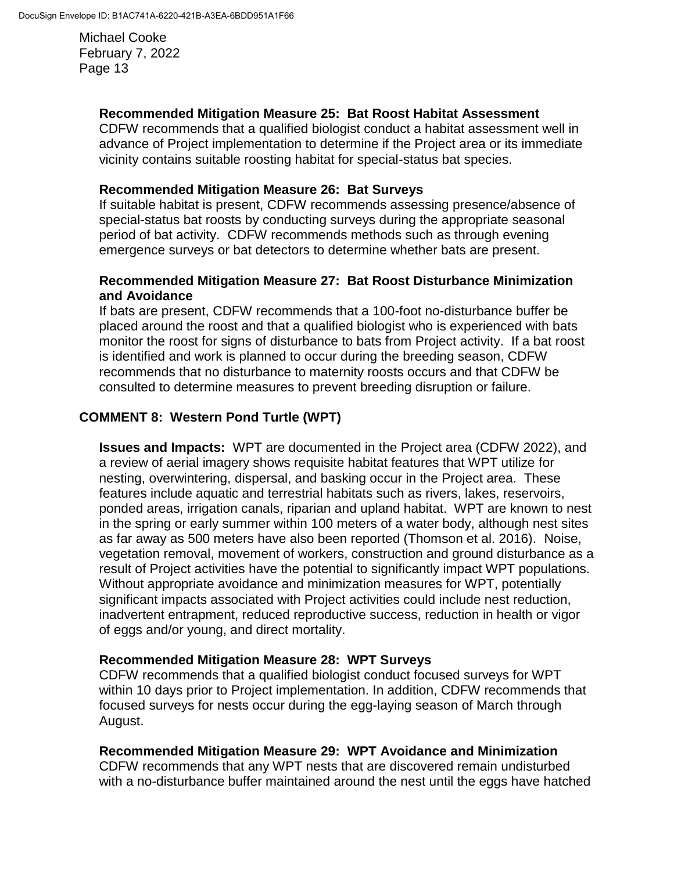### **Recommended Mitigation Measure 25: Bat Roost Habitat Assessment**

CDFW recommends that a qualified biologist conduct a habitat assessment well in advance of Project implementation to determine if the Project area or its immediate vicinity contains suitable roosting habitat for special-status bat species.

### **Recommended Mitigation Measure 26: Bat Surveys**

If suitable habitat is present, CDFW recommends assessing presence/absence of special-status bat roosts by conducting surveys during the appropriate seasonal period of bat activity. CDFW recommends methods such as through evening emergence surveys or bat detectors to determine whether bats are present.

### **Recommended Mitigation Measure 27: Bat Roost Disturbance Minimization and Avoidance**

If bats are present, CDFW recommends that a 100-foot no-disturbance buffer be placed around the roost and that a qualified biologist who is experienced with bats monitor the roost for signs of disturbance to bats from Project activity. If a bat roost is identified and work is planned to occur during the breeding season, CDFW recommends that no disturbance to maternity roosts occurs and that CDFW be consulted to determine measures to prevent breeding disruption or failure.

# **COMMENT 8: Western Pond Turtle (WPT)**

**Issues and Impacts:** WPT are documented in the Project area (CDFW 2022), and a review of aerial imagery shows requisite habitat features that WPT utilize for nesting, overwintering, dispersal, and basking occur in the Project area. These features include aquatic and terrestrial habitats such as rivers, lakes, reservoirs, ponded areas, irrigation canals, riparian and upland habitat. WPT are known to nest in the spring or early summer within 100 meters of a water body, although nest sites as far away as 500 meters have also been reported (Thomson et al. 2016). Noise, vegetation removal, movement of workers, construction and ground disturbance as a result of Project activities have the potential to significantly impact WPT populations. Without appropriate avoidance and minimization measures for WPT, potentially significant impacts associated with Project activities could include nest reduction, inadvertent entrapment, reduced reproductive success, reduction in health or vigor of eggs and/or young, and direct mortality.

# **Recommended Mitigation Measure 28: WPT Surveys**

CDFW recommends that a qualified biologist conduct focused surveys for WPT within 10 days prior to Project implementation. In addition, CDFW recommends that focused surveys for nests occur during the egg-laying season of March through August.

### **Recommended Mitigation Measure 29: WPT Avoidance and Minimization**

CDFW recommends that any WPT nests that are discovered remain undisturbed with a no-disturbance buffer maintained around the nest until the eggs have hatched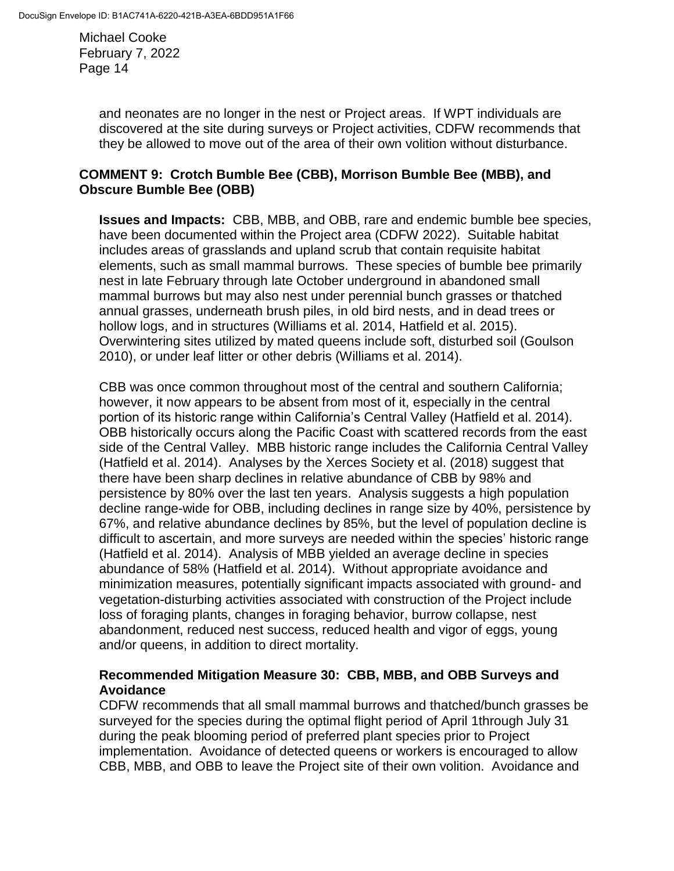> and neonates are no longer in the nest or Project areas. If WPT individuals are discovered at the site during surveys or Project activities, CDFW recommends that they be allowed to move out of the area of their own volition without disturbance.

### **COMMENT 9: Crotch Bumble Bee (CBB), Morrison Bumble Bee (MBB), and Obscure Bumble Bee (OBB)**

**Issues and Impacts:** CBB, MBB, and OBB, rare and endemic bumble bee species, have been documented within the Project area (CDFW 2022). Suitable habitat includes areas of grasslands and upland scrub that contain requisite habitat elements, such as small mammal burrows. These species of bumble bee primarily nest in late February through late October underground in abandoned small mammal burrows but may also nest under perennial bunch grasses or thatched annual grasses, underneath brush piles, in old bird nests, and in dead trees or hollow logs, and in structures (Williams et al. 2014, Hatfield et al. 2015). Overwintering sites utilized by mated queens include soft, disturbed soil (Goulson 2010), or under leaf litter or other debris (Williams et al. 2014).

CBB was once common throughout most of the central and southern California; however, it now appears to be absent from most of it, especially in the central portion of its historic range within California's Central Valley (Hatfield et al. 2014). OBB historically occurs along the Pacific Coast with scattered records from the east side of the Central Valley. MBB historic range includes the California Central Valley (Hatfield et al. 2014). Analyses by the Xerces Society et al. (2018) suggest that there have been sharp declines in relative abundance of CBB by 98% and persistence by 80% over the last ten years. Analysis suggests a high population decline range-wide for OBB, including declines in range size by 40%, persistence by 67%, and relative abundance declines by 85%, but the level of population decline is difficult to ascertain, and more surveys are needed within the species' historic range (Hatfield et al. 2014). Analysis of MBB yielded an average decline in species abundance of 58% (Hatfield et al. 2014). Without appropriate avoidance and minimization measures, potentially significant impacts associated with ground- and vegetation-disturbing activities associated with construction of the Project include loss of foraging plants, changes in foraging behavior, burrow collapse, nest abandonment, reduced nest success, reduced health and vigor of eggs, young and/or queens, in addition to direct mortality.

# **Recommended Mitigation Measure 30: CBB, MBB, and OBB Surveys and Avoidance**

CDFW recommends that all small mammal burrows and thatched/bunch grasses be surveyed for the species during the optimal flight period of April 1through July 31 during the peak blooming period of preferred plant species prior to Project implementation. Avoidance of detected queens or workers is encouraged to allow CBB, MBB, and OBB to leave the Project site of their own volition. Avoidance and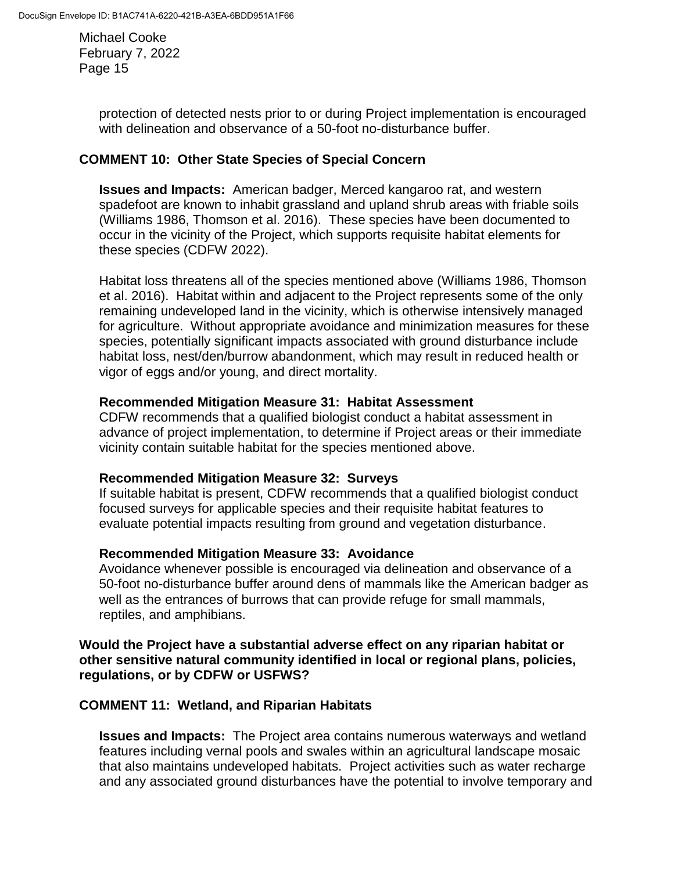> protection of detected nests prior to or during Project implementation is encouraged with delineation and observance of a 50-foot no-disturbance buffer.

### **COMMENT 10: Other State Species of Special Concern**

**Issues and Impacts:** American badger, Merced kangaroo rat, and western spadefoot are known to inhabit grassland and upland shrub areas with friable soils (Williams 1986, Thomson et al. 2016). These species have been documented to occur in the vicinity of the Project, which supports requisite habitat elements for these species (CDFW 2022).

Habitat loss threatens all of the species mentioned above (Williams 1986, Thomson et al. 2016). Habitat within and adjacent to the Project represents some of the only remaining undeveloped land in the vicinity, which is otherwise intensively managed for agriculture. Without appropriate avoidance and minimization measures for these species, potentially significant impacts associated with ground disturbance include habitat loss, nest/den/burrow abandonment, which may result in reduced health or vigor of eggs and/or young, and direct mortality.

### **Recommended Mitigation Measure 31: Habitat Assessment**

CDFW recommends that a qualified biologist conduct a habitat assessment in advance of project implementation, to determine if Project areas or their immediate vicinity contain suitable habitat for the species mentioned above.

### **Recommended Mitigation Measure 32: Surveys**

If suitable habitat is present, CDFW recommends that a qualified biologist conduct focused surveys for applicable species and their requisite habitat features to evaluate potential impacts resulting from ground and vegetation disturbance.

### **Recommended Mitigation Measure 33: Avoidance**

Avoidance whenever possible is encouraged via delineation and observance of a 50-foot no-disturbance buffer around dens of mammals like the American badger as well as the entrances of burrows that can provide refuge for small mammals, reptiles, and amphibians.

### **Would the Project have a substantial adverse effect on any riparian habitat or other sensitive natural community identified in local or regional plans, policies, regulations, or by CDFW or USFWS?**

### **COMMENT 11: Wetland, and Riparian Habitats**

**Issues and Impacts:** The Project area contains numerous waterways and wetland features including vernal pools and swales within an agricultural landscape mosaic that also maintains undeveloped habitats. Project activities such as water recharge and any associated ground disturbances have the potential to involve temporary and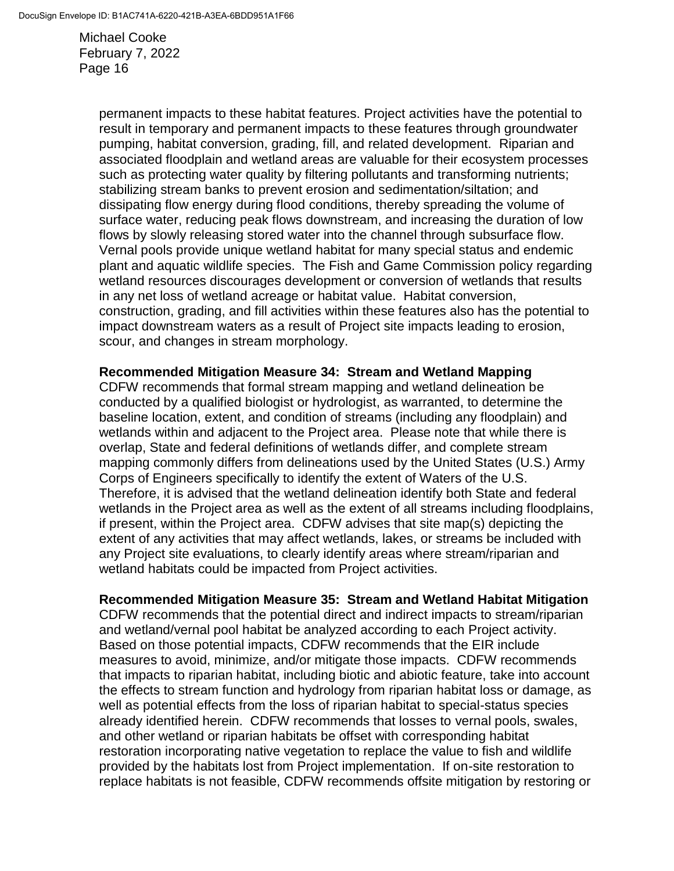> permanent impacts to these habitat features. Project activities have the potential to result in temporary and permanent impacts to these features through groundwater pumping, habitat conversion, grading, fill, and related development. Riparian and associated floodplain and wetland areas are valuable for their ecosystem processes such as protecting water quality by filtering pollutants and transforming nutrients; stabilizing stream banks to prevent erosion and sedimentation/siltation; and dissipating flow energy during flood conditions, thereby spreading the volume of surface water, reducing peak flows downstream, and increasing the duration of low flows by slowly releasing stored water into the channel through subsurface flow. Vernal pools provide unique wetland habitat for many special status and endemic plant and aquatic wildlife species. The Fish and Game Commission policy regarding wetland resources discourages development or conversion of wetlands that results in any net loss of wetland acreage or habitat value. Habitat conversion, construction, grading, and fill activities within these features also has the potential to impact downstream waters as a result of Project site impacts leading to erosion, scour, and changes in stream morphology.

### **Recommended Mitigation Measure 34: Stream and Wetland Mapping**

CDFW recommends that formal stream mapping and wetland delineation be conducted by a qualified biologist or hydrologist, as warranted, to determine the baseline location, extent, and condition of streams (including any floodplain) and wetlands within and adjacent to the Project area. Please note that while there is overlap, State and federal definitions of wetlands differ, and complete stream mapping commonly differs from delineations used by the United States (U.S.) Army Corps of Engineers specifically to identify the extent of Waters of the U.S. Therefore, it is advised that the wetland delineation identify both State and federal wetlands in the Project area as well as the extent of all streams including floodplains, if present, within the Project area. CDFW advises that site map(s) depicting the extent of any activities that may affect wetlands, lakes, or streams be included with any Project site evaluations, to clearly identify areas where stream/riparian and wetland habitats could be impacted from Project activities.

### **Recommended Mitigation Measure 35: Stream and Wetland Habitat Mitigation**

CDFW recommends that the potential direct and indirect impacts to stream/riparian and wetland/vernal pool habitat be analyzed according to each Project activity. Based on those potential impacts, CDFW recommends that the EIR include measures to avoid, minimize, and/or mitigate those impacts. CDFW recommends that impacts to riparian habitat, including biotic and abiotic feature, take into account the effects to stream function and hydrology from riparian habitat loss or damage, as well as potential effects from the loss of riparian habitat to special-status species already identified herein. CDFW recommends that losses to vernal pools, swales, and other wetland or riparian habitats be offset with corresponding habitat restoration incorporating native vegetation to replace the value to fish and wildlife provided by the habitats lost from Project implementation. If on-site restoration to replace habitats is not feasible, CDFW recommends offsite mitigation by restoring or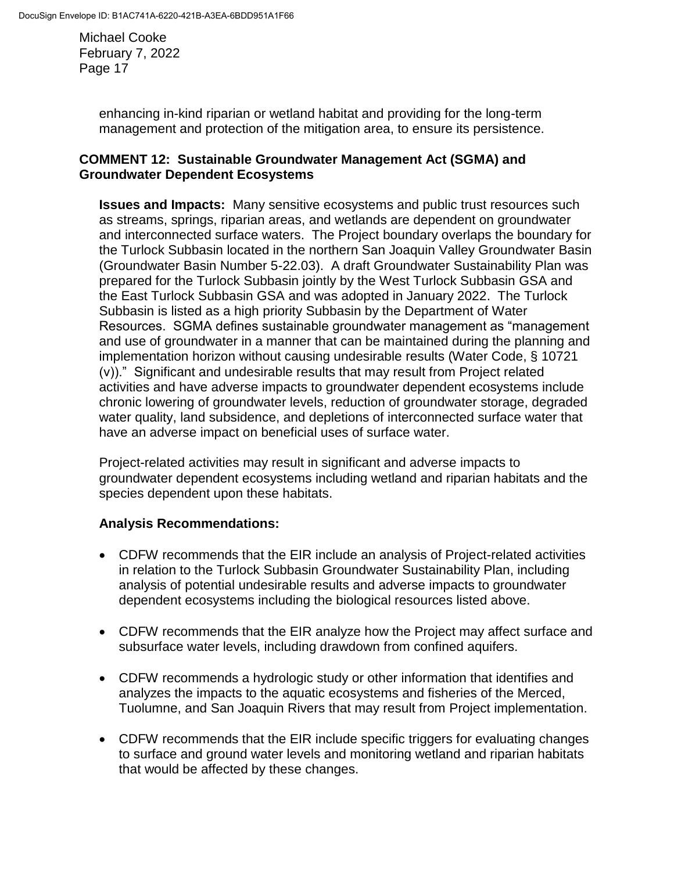> enhancing in-kind riparian or wetland habitat and providing for the long-term management and protection of the mitigation area, to ensure its persistence.

### **COMMENT 12: Sustainable Groundwater Management Act (SGMA) and Groundwater Dependent Ecosystems**

**Issues and Impacts:** Many sensitive ecosystems and public trust resources such as streams, springs, riparian areas, and wetlands are dependent on groundwater and interconnected surface waters. The Project boundary overlaps the boundary for the Turlock Subbasin located in the northern San Joaquin Valley Groundwater Basin (Groundwater Basin Number 5-22.03). A draft Groundwater Sustainability Plan was prepared for the Turlock Subbasin jointly by the West Turlock Subbasin GSA and the East Turlock Subbasin GSA and was adopted in January 2022. The Turlock Subbasin is listed as a high priority Subbasin by the Department of Water Resources. SGMA defines sustainable groundwater management as "management and use of groundwater in a manner that can be maintained during the planning and implementation horizon without causing undesirable results (Water Code, § 10721 (v))." Significant and undesirable results that may result from Project related activities and have adverse impacts to groundwater dependent ecosystems include chronic lowering of groundwater levels, reduction of groundwater storage, degraded water quality, land subsidence, and depletions of interconnected surface water that have an adverse impact on beneficial uses of surface water.

Project-related activities may result in significant and adverse impacts to groundwater dependent ecosystems including wetland and riparian habitats and the species dependent upon these habitats.

# **Analysis Recommendations:**

- CDFW recommends that the EIR include an analysis of Project-related activities in relation to the Turlock Subbasin Groundwater Sustainability Plan, including analysis of potential undesirable results and adverse impacts to groundwater dependent ecosystems including the biological resources listed above.
- CDFW recommends that the EIR analyze how the Project may affect surface and subsurface water levels, including drawdown from confined aquifers.
- CDFW recommends a hydrologic study or other information that identifies and analyzes the impacts to the aquatic ecosystems and fisheries of the Merced, Tuolumne, and San Joaquin Rivers that may result from Project implementation.
- CDFW recommends that the EIR include specific triggers for evaluating changes to surface and ground water levels and monitoring wetland and riparian habitats that would be affected by these changes.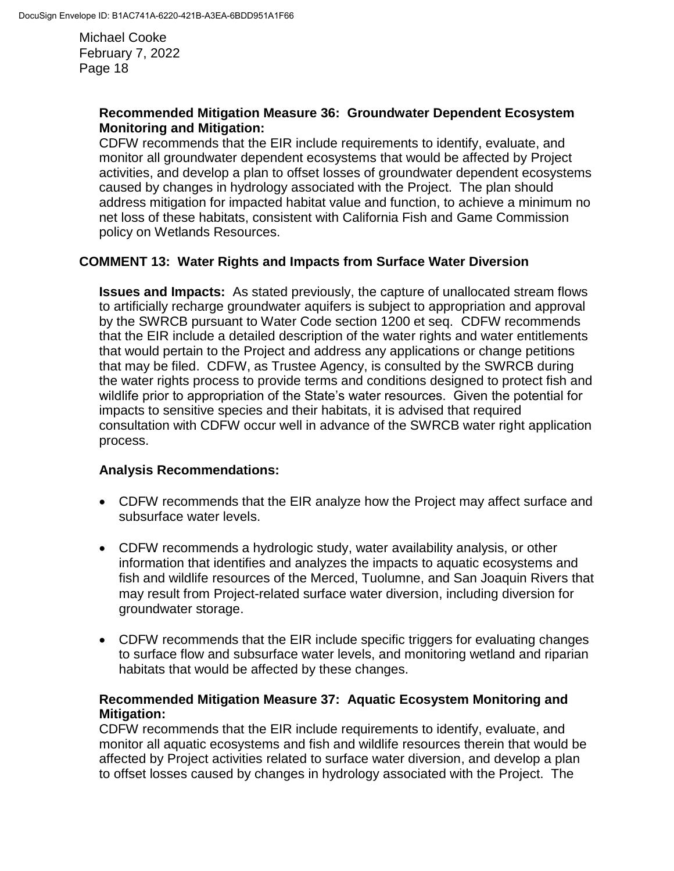### **Recommended Mitigation Measure 36: Groundwater Dependent Ecosystem Monitoring and Mitigation:**

CDFW recommends that the EIR include requirements to identify, evaluate, and monitor all groundwater dependent ecosystems that would be affected by Project activities, and develop a plan to offset losses of groundwater dependent ecosystems caused by changes in hydrology associated with the Project. The plan should address mitigation for impacted habitat value and function, to achieve a minimum no net loss of these habitats, consistent with California Fish and Game Commission policy on Wetlands Resources.

### **COMMENT 13: Water Rights and Impacts from Surface Water Diversion**

**Issues and Impacts:** As stated previously, the capture of unallocated stream flows to artificially recharge groundwater aquifers is subject to appropriation and approval by the SWRCB pursuant to Water Code section 1200 et seq. CDFW recommends that the EIR include a detailed description of the water rights and water entitlements that would pertain to the Project and address any applications or change petitions that may be filed. CDFW, as Trustee Agency, is consulted by the SWRCB during the water rights process to provide terms and conditions designed to protect fish and wildlife prior to appropriation of the State's water resources. Given the potential for impacts to sensitive species and their habitats, it is advised that required consultation with CDFW occur well in advance of the SWRCB water right application process.

### **Analysis Recommendations:**

- CDFW recommends that the EIR analyze how the Project may affect surface and subsurface water levels.
- CDFW recommends a hydrologic study, water availability analysis, or other information that identifies and analyzes the impacts to aquatic ecosystems and fish and wildlife resources of the Merced, Tuolumne, and San Joaquin Rivers that may result from Project-related surface water diversion, including diversion for groundwater storage.
- CDFW recommends that the EIR include specific triggers for evaluating changes to surface flow and subsurface water levels, and monitoring wetland and riparian habitats that would be affected by these changes.

### **Recommended Mitigation Measure 37: Aquatic Ecosystem Monitoring and Mitigation:**

CDFW recommends that the EIR include requirements to identify, evaluate, and monitor all aquatic ecosystems and fish and wildlife resources therein that would be affected by Project activities related to surface water diversion, and develop a plan to offset losses caused by changes in hydrology associated with the Project. The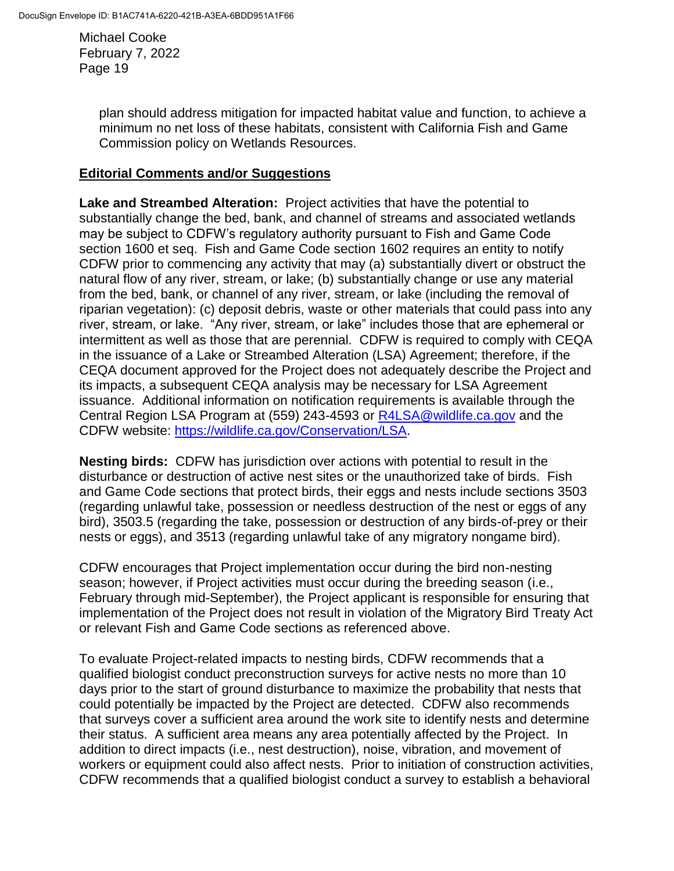> plan should address mitigation for impacted habitat value and function, to achieve a minimum no net loss of these habitats, consistent with California Fish and Game Commission policy on Wetlands Resources.

### **Editorial Comments and/or Suggestions**

**Lake and Streambed Alteration:** Project activities that have the potential to substantially change the bed, bank, and channel of streams and associated wetlands may be subject to CDFW's regulatory authority pursuant to Fish and Game Code section 1600 et seq. Fish and Game Code section 1602 requires an entity to notify CDFW prior to commencing any activity that may (a) substantially divert or obstruct the natural flow of any river, stream, or lake; (b) substantially change or use any material from the bed, bank, or channel of any river, stream, or lake (including the removal of riparian vegetation): (c) deposit debris, waste or other materials that could pass into any river, stream, or lake. "Any river, stream, or lake" includes those that are ephemeral or intermittent as well as those that are perennial. CDFW is required to comply with CEQA in the issuance of a Lake or Streambed Alteration (LSA) Agreement; therefore, if the CEQA document approved for the Project does not adequately describe the Project and its impacts, a subsequent CEQA analysis may be necessary for LSA Agreement issuance. Additional information on notification requirements is available through the Central Region LSA Program at (559) 243-4593 or [R4LSA@wildlife.ca.gov](mailto:R4LSA@wildlife.ca.gov) and the CDFW website: [https://wildlife.ca.gov/Conservation/LSA.](https://wildlife.ca.gov/Conservation/LSA)

**Nesting birds:** CDFW has jurisdiction over actions with potential to result in the disturbance or destruction of active nest sites or the unauthorized take of birds. Fish and Game Code sections that protect birds, their eggs and nests include sections 3503 (regarding unlawful take, possession or needless destruction of the nest or eggs of any bird), 3503.5 (regarding the take, possession or destruction of any birds-of-prey or their nests or eggs), and 3513 (regarding unlawful take of any migratory nongame bird).

CDFW encourages that Project implementation occur during the bird non-nesting season; however, if Project activities must occur during the breeding season (i.e., February through mid-September), the Project applicant is responsible for ensuring that implementation of the Project does not result in violation of the Migratory Bird Treaty Act or relevant Fish and Game Code sections as referenced above.

To evaluate Project-related impacts to nesting birds, CDFW recommends that a qualified biologist conduct preconstruction surveys for active nests no more than 10 days prior to the start of ground disturbance to maximize the probability that nests that could potentially be impacted by the Project are detected. CDFW also recommends that surveys cover a sufficient area around the work site to identify nests and determine their status. A sufficient area means any area potentially affected by the Project. In addition to direct impacts (i.e., nest destruction), noise, vibration, and movement of workers or equipment could also affect nests. Prior to initiation of construction activities, CDFW recommends that a qualified biologist conduct a survey to establish a behavioral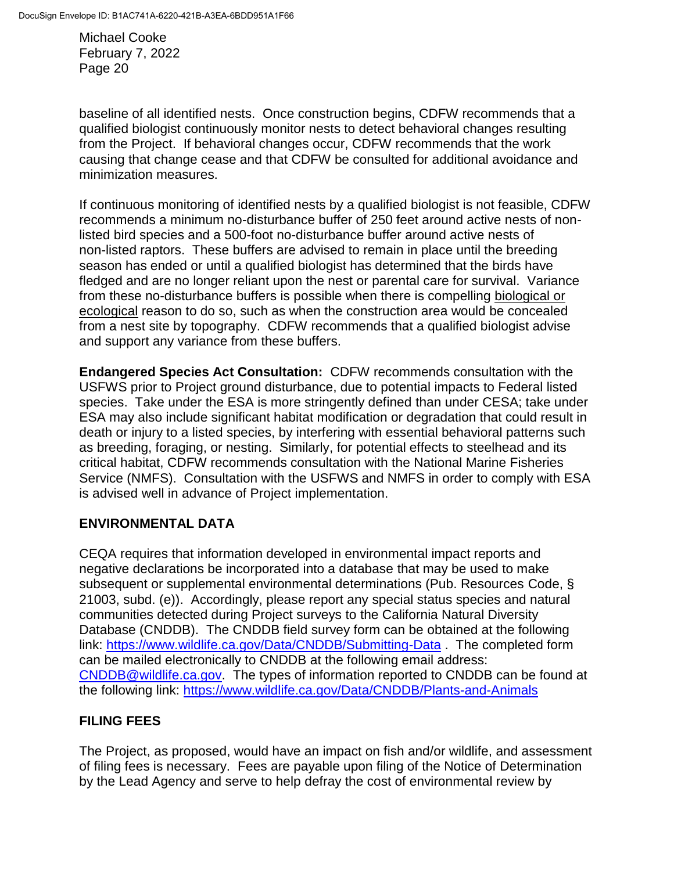baseline of all identified nests. Once construction begins, CDFW recommends that a qualified biologist continuously monitor nests to detect behavioral changes resulting from the Project. If behavioral changes occur, CDFW recommends that the work causing that change cease and that CDFW be consulted for additional avoidance and minimization measures.

If continuous monitoring of identified nests by a qualified biologist is not feasible, CDFW recommends a minimum no-disturbance buffer of 250 feet around active nests of nonlisted bird species and a 500-foot no-disturbance buffer around active nests of non-listed raptors. These buffers are advised to remain in place until the breeding season has ended or until a qualified biologist has determined that the birds have fledged and are no longer reliant upon the nest or parental care for survival. Variance from these no-disturbance buffers is possible when there is compelling biological or ecological reason to do so, such as when the construction area would be concealed from a nest site by topography. CDFW recommends that a qualified biologist advise and support any variance from these buffers.

**Endangered Species Act Consultation:** CDFW recommends consultation with the USFWS prior to Project ground disturbance, due to potential impacts to Federal listed species. Take under the ESA is more stringently defined than under CESA; take under ESA may also include significant habitat modification or degradation that could result in death or injury to a listed species, by interfering with essential behavioral patterns such as breeding, foraging, or nesting. Similarly, for potential effects to steelhead and its critical habitat, CDFW recommends consultation with the National Marine Fisheries Service (NMFS). Consultation with the USFWS and NMFS in order to comply with ESA is advised well in advance of Project implementation.

# **ENVIRONMENTAL DATA**

CEQA requires that information developed in environmental impact reports and negative declarations be incorporated into a database that may be used to make subsequent or supplemental environmental determinations (Pub. Resources Code, § 21003, subd. (e)). Accordingly, please report any special status species and natural communities detected during Project surveys to the California Natural Diversity Database (CNDDB). The CNDDB field survey form can be obtained at the following link:<https://www.wildlife.ca.gov/Data/CNDDB/Submitting-Data> . The completed form can be mailed electronically to CNDDB at the following email address: [CNDDB@wildlife.ca.gov.](mailto:cnddb@dfg.ca.gov) The types of information reported to CNDDB can be found at the following link:<https://www.wildlife.ca.gov/Data/CNDDB/Plants-and-Animals>

# **FILING FEES**

The Project, as proposed, would have an impact on fish and/or wildlife, and assessment of filing fees is necessary. Fees are payable upon filing of the Notice of Determination by the Lead Agency and serve to help defray the cost of environmental review by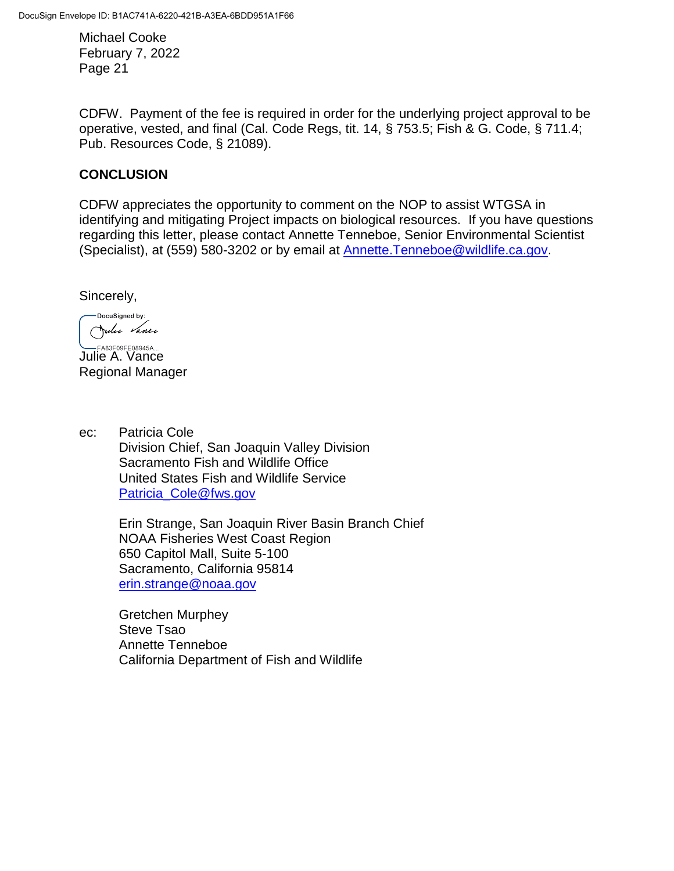CDFW. Payment of the fee is required in order for the underlying project approval to be operative, vested, and final (Cal. Code Regs, tit. 14, § 753.5; Fish & G. Code, § 711.4; Pub. Resources Code, § 21089).

## **CONCLUSION**

CDFW appreciates the opportunity to comment on the NOP to assist WTGSA in identifying and mitigating Project impacts on biological resources. If you have questions regarding this letter, please contact Annette Tenneboe, Senior Environmental Scientist (Specialist), at (559) 580-3202 or by email at [Annette.Tenneboe@wildlife.ca.gov.](mailto:Annette.Tenneboe@wildlife.ca.gov)

Sincerely,

-DocuSigned by: Julie Vance

**LABSFOSFEO8945A...**<br>Julie A. Vance Regional Manager

ec: Patricia Cole Division Chief, San Joaquin Valley Division Sacramento Fish and Wildlife Office United States Fish and Wildlife Service [Patricia\\_Cole@fws.gov](mailto:Patricia_Cole@fws.gov)

> Erin Strange, San Joaquin River Basin Branch Chief NOAA Fisheries West Coast Region 650 Capitol Mall, Suite 5-100 Sacramento, California 95814 [erin.strange@noaa.gov](mailto:erin.strange@noaa.gov)

Gretchen Murphey Steve Tsao Annette Tenneboe California Department of Fish and Wildlife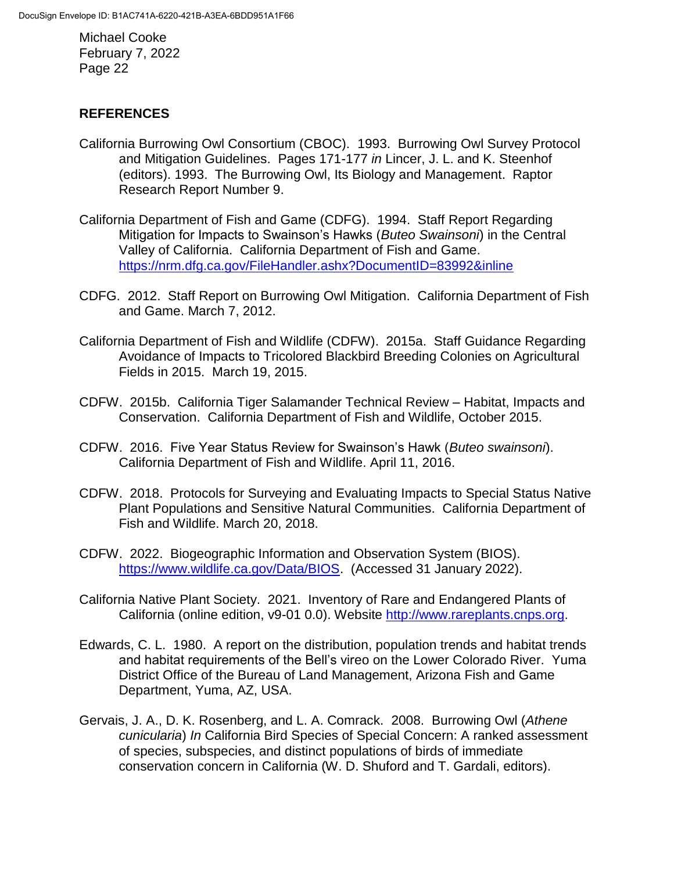### **REFERENCES**

- California Burrowing Owl Consortium (CBOC). 1993. Burrowing Owl Survey Protocol and Mitigation Guidelines. Pages 171-177 *in* Lincer, J. L. and K. Steenhof (editors). 1993. The Burrowing Owl, Its Biology and Management. Raptor Research Report Number 9.
- California Department of Fish and Game (CDFG). 1994. Staff Report Regarding Mitigation for Impacts to Swainson's Hawks (*Buteo Swainsoni*) in the Central Valley of California. California Department of Fish and Game. <https://nrm.dfg.ca.gov/FileHandler.ashx?DocumentID=83992&inline>
- CDFG. 2012. Staff Report on Burrowing Owl Mitigation. California Department of Fish and Game. March 7, 2012.
- California Department of Fish and Wildlife (CDFW). 2015a. Staff Guidance Regarding Avoidance of Impacts to Tricolored Blackbird Breeding Colonies on Agricultural Fields in 2015. March 19, 2015.
- CDFW. 2015b. California Tiger Salamander Technical Review Habitat, Impacts and Conservation. California Department of Fish and Wildlife, October 2015.
- CDFW. 2016. Five Year Status Review for Swainson's Hawk (*Buteo swainsoni*). California Department of Fish and Wildlife. April 11, 2016.
- CDFW. 2018. Protocols for Surveying and Evaluating Impacts to Special Status Native Plant Populations and Sensitive Natural Communities. California Department of Fish and Wildlife. March 20, 2018.
- CDFW. 2022. Biogeographic Information and Observation System (BIOS). [https://www.wildlife.ca.gov/Data/BIOS.](https://www.wildlife.ca.gov/Data/BIOS) (Accessed 31 January 2022).
- California Native Plant Society. 2021. Inventory of Rare and Endangered Plants of California (online edition, v9-01 0.0). Website [http://www.rareplants.cnps.org.](http://www.rareplants.cnps.org/)
- Edwards, C. L. 1980. A report on the distribution, population trends and habitat trends and habitat requirements of the Bell's vireo on the Lower Colorado River. Yuma District Office of the Bureau of Land Management, Arizona Fish and Game Department, Yuma, AZ, USA.
- Gervais, J. A., D. K. Rosenberg, and L. A. Comrack. 2008. Burrowing Owl (*Athene cunicularia*) *In* California Bird Species of Special Concern: A ranked assessment of species, subspecies, and distinct populations of birds of immediate conservation concern in California (W. D. Shuford and T. Gardali, editors).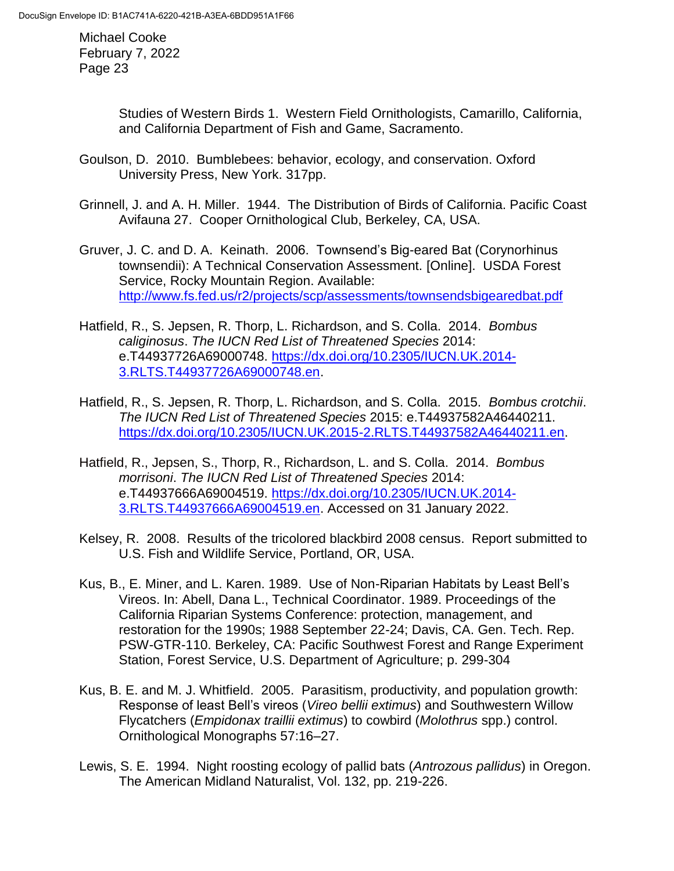> Studies of Western Birds 1. Western Field Ornithologists, Camarillo, California, and California Department of Fish and Game, Sacramento.

- Goulson, D. 2010. Bumblebees: behavior, ecology, and conservation. Oxford University Press, New York. 317pp.
- Grinnell, J. and A. H. Miller. 1944. The Distribution of Birds of California. Pacific Coast Avifauna 27. Cooper Ornithological Club, Berkeley, CA, USA.
- Gruver, J. C. and D. A. Keinath. 2006. Townsend's Big-eared Bat (Corynorhinus townsendii): A Technical Conservation Assessment. [Online]. USDA Forest Service, Rocky Mountain Region. Available: <http://www.fs.fed.us/r2/projects/scp/assessments/townsendsbigearedbat.pdf>
- Hatfield, R., S. Jepsen, R. Thorp, L. Richardson, and S. Colla. 2014. *Bombus caliginosus*. *The IUCN Red List of Threatened Species* 2014: e.T44937726A69000748. [https://dx.doi.org/10.2305/IUCN.UK.2014-](https://dx.doi.org/10.2305/IUCN.UK.2014-3.RLTS.T44937726A69000748.en) [3.RLTS.T44937726A69000748.en.](https://dx.doi.org/10.2305/IUCN.UK.2014-3.RLTS.T44937726A69000748.en)
- Hatfield, R., S. Jepsen, R. Thorp, L. Richardson, and S. Colla. 2015. *Bombus crotchii*. *The IUCN Red List of Threatened Species* 2015: e.T44937582A46440211. [https://dx.doi.org/10.2305/IUCN.UK.2015-2.RLTS.T44937582A46440211.en.](https://dx.doi.org/10.2305/IUCN.UK.2015-2.RLTS.T44937582A46440211.en)
- Hatfield, R., Jepsen, S., Thorp, R., Richardson, L. and S. Colla. 2014. *Bombus morrisoni*. *The IUCN Red List of Threatened Species* 2014: e.T44937666A69004519. [https://dx.doi.org/10.2305/IUCN.UK.2014-](https://dx.doi.org/10.2305/IUCN.UK.2014-3.RLTS.T44937666A69004519.en) [3.RLTS.T44937666A69004519.en.](https://dx.doi.org/10.2305/IUCN.UK.2014-3.RLTS.T44937666A69004519.en) Accessed on 31 January 2022.
- Kelsey, R. 2008. Results of the tricolored blackbird 2008 census. Report submitted to U.S. Fish and Wildlife Service, Portland, OR, USA.
- Kus, B., E. Miner, and L. Karen. 1989. Use of Non-Riparian Habitats by Least Bell's Vireos. In: Abell, Dana L., Technical Coordinator. 1989. Proceedings of the California Riparian Systems Conference: protection, management, and restoration for the 1990s; 1988 September 22-24; Davis, CA. Gen. Tech. Rep. PSW-GTR-110. Berkeley, CA: Pacific Southwest Forest and Range Experiment Station, Forest Service, U.S. Department of Agriculture; p. 299-304
- Kus, B. E. and M. J. Whitfield. 2005. Parasitism, productivity, and population growth: Response of least Bell's vireos (*Vireo bellii extimus*) and Southwestern Willow Flycatchers (*Empidonax traillii extimus*) to cowbird (*Molothrus* spp.) control. Ornithological Monographs 57:16–27.
- Lewis, S. E. 1994. Night roosting ecology of pallid bats (*Antrozous pallidus*) in Oregon. The American Midland Naturalist, Vol. 132, pp. 219-226.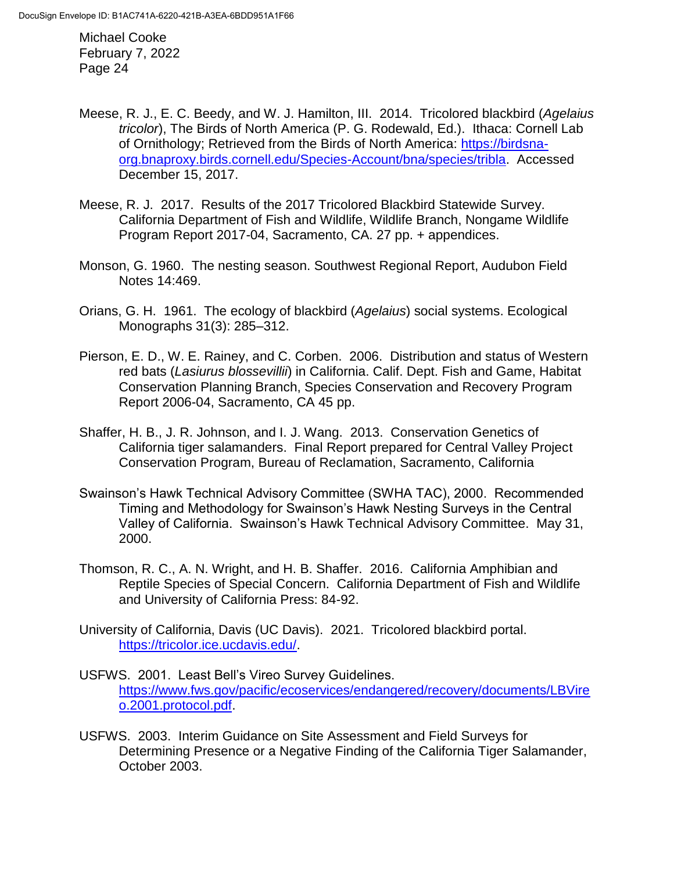- Meese, R. J., E. C. Beedy, and W. J. Hamilton, III. 2014. Tricolored blackbird (*Agelaius tricolor*), The Birds of North America (P. G. Rodewald, Ed.). Ithaca: Cornell Lab of Ornithology; Retrieved from the Birds of North America: [https://birdsna](https://birdsna-org.bnaproxy.birds.cornell.edu/Species-Account/bna/species/tribla)[org.bnaproxy.birds.cornell.edu/Species-Account/bna/species/tribla.](https://birdsna-org.bnaproxy.birds.cornell.edu/Species-Account/bna/species/tribla) Accessed December 15, 2017.
- Meese, R. J. 2017. Results of the 2017 Tricolored Blackbird Statewide Survey. California Department of Fish and Wildlife, Wildlife Branch, Nongame Wildlife Program Report 2017-04, Sacramento, CA. 27 pp. + appendices.
- Monson, G. 1960. The nesting season. Southwest Regional Report, Audubon Field Notes 14:469.
- Orians, G. H. 1961. The ecology of blackbird (*Agelaius*) social systems. Ecological Monographs 31(3): 285–312.
- Pierson, E. D., W. E. Rainey, and C. Corben. 2006. Distribution and status of Western red bats (*Lasiurus blossevillii*) in California. Calif. Dept. Fish and Game, Habitat Conservation Planning Branch, Species Conservation and Recovery Program Report 2006-04, Sacramento, CA 45 pp.
- Shaffer, H. B., J. R. Johnson, and I. J. Wang. 2013. Conservation Genetics of California tiger salamanders. Final Report prepared for Central Valley Project Conservation Program, Bureau of Reclamation, Sacramento, California
- Swainson's Hawk Technical Advisory Committee (SWHA TAC), 2000. Recommended Timing and Methodology for Swainson's Hawk Nesting Surveys in the Central Valley of California. Swainson's Hawk Technical Advisory Committee. May 31, 2000.
- Thomson, R. C., A. N. Wright, and H. B. Shaffer. 2016. California Amphibian and Reptile Species of Special Concern. California Department of Fish and Wildlife and University of California Press: 84-92.
- University of California, Davis (UC Davis). 2021. Tricolored blackbird portal. [https://tricolor.ice.ucdavis.edu/.](https://tricolor.ice.ucdavis.edu/)
- USFWS. 2001. Least Bell's Vireo Survey Guidelines. [https://www.fws.gov/pacific/ecoservices/endangered/recovery/documents/LBVire](https://www.fws.gov/pacific/ecoservices/endangered/recovery/documents/LBVireo.2001.protocol.pdf) [o.2001.protocol.pdf.](https://www.fws.gov/pacific/ecoservices/endangered/recovery/documents/LBVireo.2001.protocol.pdf)
- USFWS. 2003. Interim Guidance on Site Assessment and Field Surveys for Determining Presence or a Negative Finding of the California Tiger Salamander, October 2003.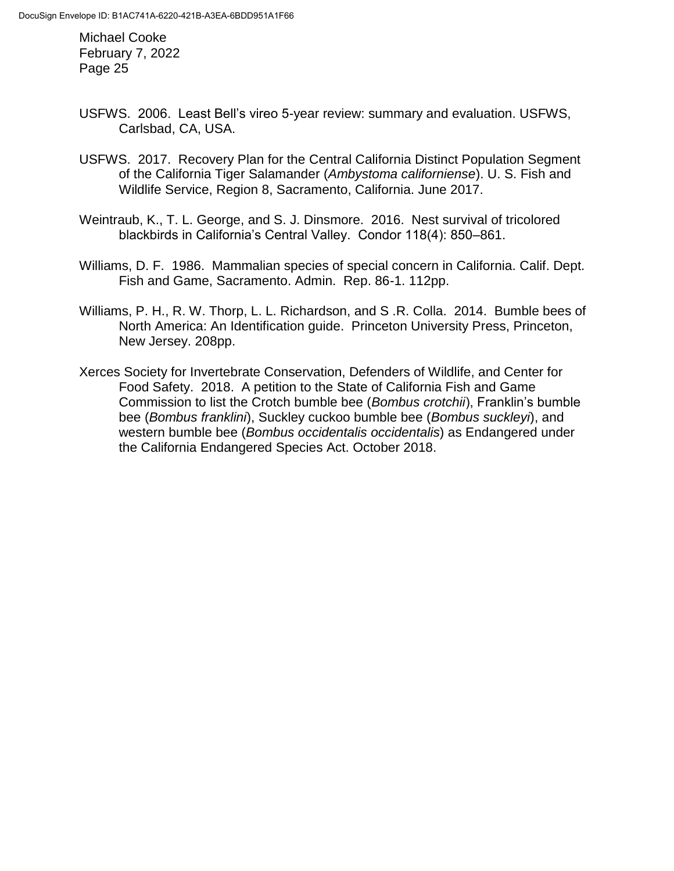- USFWS. 2006. Least Bell's vireo 5-year review: summary and evaluation. USFWS, Carlsbad, CA, USA.
- USFWS. 2017. Recovery Plan for the Central California Distinct Population Segment of the California Tiger Salamander (*Ambystoma californiense*). U. S. Fish and Wildlife Service, Region 8, Sacramento, California. June 2017.
- Weintraub, K., T. L. George, and S. J. Dinsmore. 2016. Nest survival of tricolored blackbirds in California's Central Valley. Condor 118(4): 850–861.
- Williams, D. F. 1986. Mammalian species of special concern in California. Calif. Dept. Fish and Game, Sacramento. Admin. Rep. 86-1. 112pp.
- Williams, P. H., R. W. Thorp, L. L. Richardson, and S .R. Colla. 2014. Bumble bees of North America: An Identification guide. Princeton University Press, Princeton, New Jersey. 208pp.
- Xerces Society for Invertebrate Conservation, Defenders of Wildlife, and Center for Food Safety. 2018. A petition to the State of California Fish and Game Commission to list the Crotch bumble bee (*Bombus crotchii*), Franklin's bumble bee (*Bombus franklini*), Suckley cuckoo bumble bee (*Bombus suckleyi*), and western bumble bee (*Bombus occidentalis occidentalis*) as Endangered under the California Endangered Species Act. October 2018.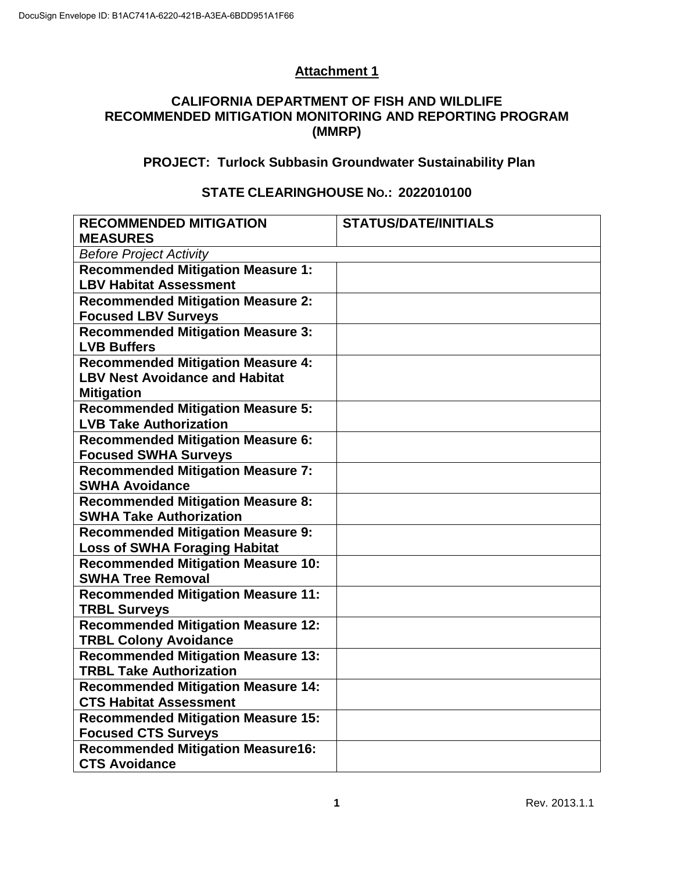# **Attachment 1**

#### **CALIFORNIA DEPARTMENT OF FISH AND WILDLIFE RECOMMENDED MITIGATION MONITORING AND REPORTING PROGRAM (MMRP)**

# **PROJECT: Turlock Subbasin Groundwater Sustainability Plan**

### **STATE CLEARINGHOUSE NO.: 2022010100**

| <b>RECOMMENDED MITIGATION</b><br><b>MEASURES</b>                           | <b>STATUS/DATE/INITIALS</b> |  |  |  |
|----------------------------------------------------------------------------|-----------------------------|--|--|--|
| <b>Before Project Activity</b>                                             |                             |  |  |  |
| <b>Recommended Mitigation Measure 1:</b>                                   |                             |  |  |  |
| <b>LBV Habitat Assessment</b>                                              |                             |  |  |  |
| <b>Recommended Mitigation Measure 2:</b>                                   |                             |  |  |  |
| <b>Focused LBV Surveys</b>                                                 |                             |  |  |  |
| <b>Recommended Mitigation Measure 3:</b><br><b>LVB Buffers</b>             |                             |  |  |  |
| <b>Recommended Mitigation Measure 4:</b>                                   |                             |  |  |  |
| <b>LBV Nest Avoidance and Habitat</b>                                      |                             |  |  |  |
| <b>Mitigation</b>                                                          |                             |  |  |  |
| <b>Recommended Mitigation Measure 5:</b>                                   |                             |  |  |  |
| <b>LVB Take Authorization</b>                                              |                             |  |  |  |
| <b>Recommended Mitigation Measure 6:</b>                                   |                             |  |  |  |
| <b>Focused SWHA Surveys</b>                                                |                             |  |  |  |
| <b>Recommended Mitigation Measure 7:</b>                                   |                             |  |  |  |
| <b>SWHA Avoidance</b>                                                      |                             |  |  |  |
| <b>Recommended Mitigation Measure 8:</b><br><b>SWHA Take Authorization</b> |                             |  |  |  |
| <b>Recommended Mitigation Measure 9:</b>                                   |                             |  |  |  |
| <b>Loss of SWHA Foraging Habitat</b>                                       |                             |  |  |  |
| <b>Recommended Mitigation Measure 10:</b>                                  |                             |  |  |  |
| <b>SWHA Tree Removal</b>                                                   |                             |  |  |  |
| <b>Recommended Mitigation Measure 11:</b>                                  |                             |  |  |  |
| <b>TRBL Surveys</b>                                                        |                             |  |  |  |
| <b>Recommended Mitigation Measure 12:</b>                                  |                             |  |  |  |
| <b>TRBL Colony Avoidance</b>                                               |                             |  |  |  |
| <b>Recommended Mitigation Measure 13:</b>                                  |                             |  |  |  |
| <b>TRBL Take Authorization</b>                                             |                             |  |  |  |
| <b>Recommended Mitigation Measure 14:</b>                                  |                             |  |  |  |
| <b>CTS Habitat Assessment</b>                                              |                             |  |  |  |
| <b>Recommended Mitigation Measure 15:</b>                                  |                             |  |  |  |
| <b>Focused CTS Surveys</b>                                                 |                             |  |  |  |
| <b>Recommended Mitigation Measure16:</b>                                   |                             |  |  |  |
| <b>CTS Avoidance</b>                                                       |                             |  |  |  |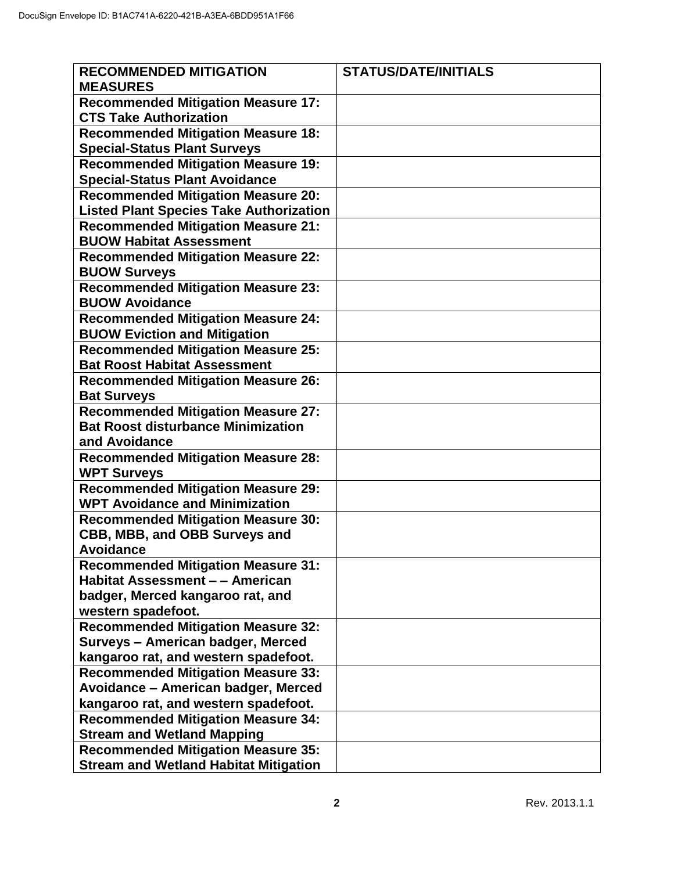| <b>RECOMMENDED MITIGATION</b><br><b>MEASURES</b>                                                        | <b>STATUS/DATE/INITIALS</b> |
|---------------------------------------------------------------------------------------------------------|-----------------------------|
| <b>Recommended Mitigation Measure 17:</b><br><b>CTS Take Authorization</b>                              |                             |
| <b>Recommended Mitigation Measure 18:</b><br><b>Special-Status Plant Surveys</b>                        |                             |
| <b>Recommended Mitigation Measure 19:</b><br><b>Special-Status Plant Avoidance</b>                      |                             |
| <b>Recommended Mitigation Measure 20:</b><br><b>Listed Plant Species Take Authorization</b>             |                             |
| <b>Recommended Mitigation Measure 21:</b><br><b>BUOW Habitat Assessment</b>                             |                             |
| <b>Recommended Mitigation Measure 22:</b><br><b>BUOW Surveys</b>                                        |                             |
| <b>Recommended Mitigation Measure 23:</b><br><b>BUOW Avoidance</b>                                      |                             |
| <b>Recommended Mitigation Measure 24:</b><br><b>BUOW Eviction and Mitigation</b>                        |                             |
| <b>Recommended Mitigation Measure 25:</b><br><b>Bat Roost Habitat Assessment</b>                        |                             |
| <b>Recommended Mitigation Measure 26:</b><br><b>Bat Surveys</b>                                         |                             |
| <b>Recommended Mitigation Measure 27:</b><br><b>Bat Roost disturbance Minimization</b><br>and Avoidance |                             |
| <b>Recommended Mitigation Measure 28:</b><br><b>WPT Surveys</b>                                         |                             |
| <b>Recommended Mitigation Measure 29:</b><br><b>WPT Avoidance and Minimization</b>                      |                             |
| <b>Recommended Mitigation Measure 30:</b><br>CBB, MBB, and OBB Surveys and<br><b>Avoidance</b>          |                             |
| <b>Recommended Mitigation Measure 31:</b><br><b>Habitat Assessment - - American</b>                     |                             |
| badger, Merced kangaroo rat, and<br>western spadefoot.                                                  |                             |
| <b>Recommended Mitigation Measure 32:</b><br><b>Surveys - American badger, Merced</b>                   |                             |
| kangaroo rat, and western spadefoot.<br><b>Recommended Mitigation Measure 33:</b>                       |                             |
| Avoidance - American badger, Merced<br>kangaroo rat, and western spadefoot.                             |                             |
| <b>Recommended Mitigation Measure 34:</b><br><b>Stream and Wetland Mapping</b>                          |                             |
| <b>Recommended Mitigation Measure 35:</b><br><b>Stream and Wetland Habitat Mitigation</b>               |                             |